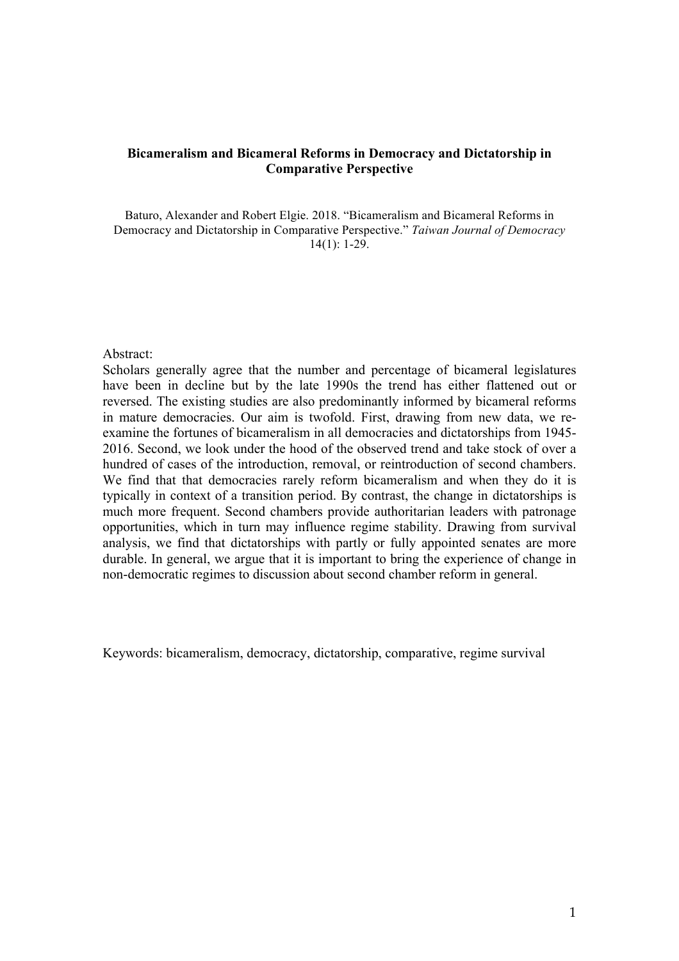# **Bicameralism and Bicameral Reforms in Democracy and Dictatorship in Comparative Perspective**

Baturo, Alexander and Robert Elgie. 2018. "Bicameralism and Bicameral Reforms in Democracy and Dictatorship in Comparative Perspective." *Taiwan Journal of Democracy* 14(1): 1-29.

#### Abstract:

Scholars generally agree that the number and percentage of bicameral legislatures have been in decline but by the late 1990s the trend has either flattened out or reversed. The existing studies are also predominantly informed by bicameral reforms in mature democracies. Our aim is twofold. First, drawing from new data, we reexamine the fortunes of bicameralism in all democracies and dictatorships from 1945- 2016. Second, we look under the hood of the observed trend and take stock of over a hundred of cases of the introduction, removal, or reintroduction of second chambers. We find that that democracies rarely reform bicameralism and when they do it is typically in context of a transition period. By contrast, the change in dictatorships is much more frequent. Second chambers provide authoritarian leaders with patronage opportunities, which in turn may influence regime stability. Drawing from survival analysis, we find that dictatorships with partly or fully appointed senates are more durable. In general, we argue that it is important to bring the experience of change in non-democratic regimes to discussion about second chamber reform in general.

Keywords: bicameralism, democracy, dictatorship, comparative, regime survival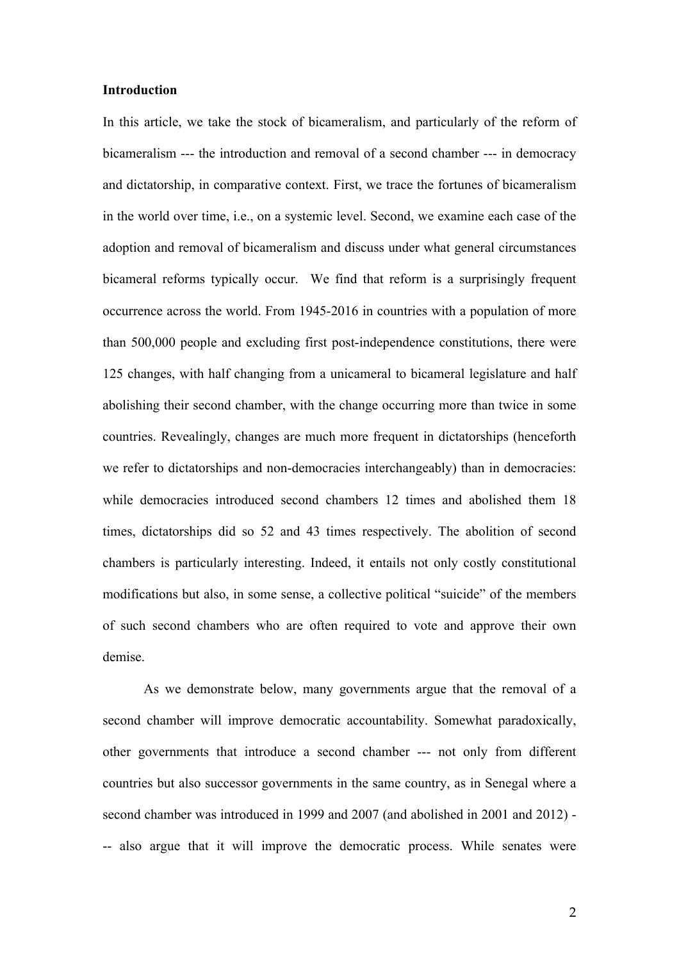#### **Introduction**

In this article, we take the stock of bicameralism, and particularly of the reform of bicameralism --- the introduction and removal of a second chamber --- in democracy and dictatorship, in comparative context. First, we trace the fortunes of bicameralism in the world over time, i.e., on a systemic level. Second, we examine each case of the adoption and removal of bicameralism and discuss under what general circumstances bicameral reforms typically occur. We find that reform is a surprisingly frequent occurrence across the world. From 1945-2016 in countries with a population of more than 500,000 people and excluding first post-independence constitutions, there were 125 changes, with half changing from a unicameral to bicameral legislature and half abolishing their second chamber, with the change occurring more than twice in some countries. Revealingly, changes are much more frequent in dictatorships (henceforth we refer to dictatorships and non-democracies interchangeably) than in democracies: while democracies introduced second chambers 12 times and abolished them 18 times, dictatorships did so 52 and 43 times respectively. The abolition of second chambers is particularly interesting. Indeed, it entails not only costly constitutional modifications but also, in some sense, a collective political "suicide" of the members of such second chambers who are often required to vote and approve their own demise.

As we demonstrate below, many governments argue that the removal of a second chamber will improve democratic accountability. Somewhat paradoxically, other governments that introduce a second chamber --- not only from different countries but also successor governments in the same country, as in Senegal where a second chamber was introduced in 1999 and 2007 (and abolished in 2001 and 2012) - -- also argue that it will improve the democratic process. While senates were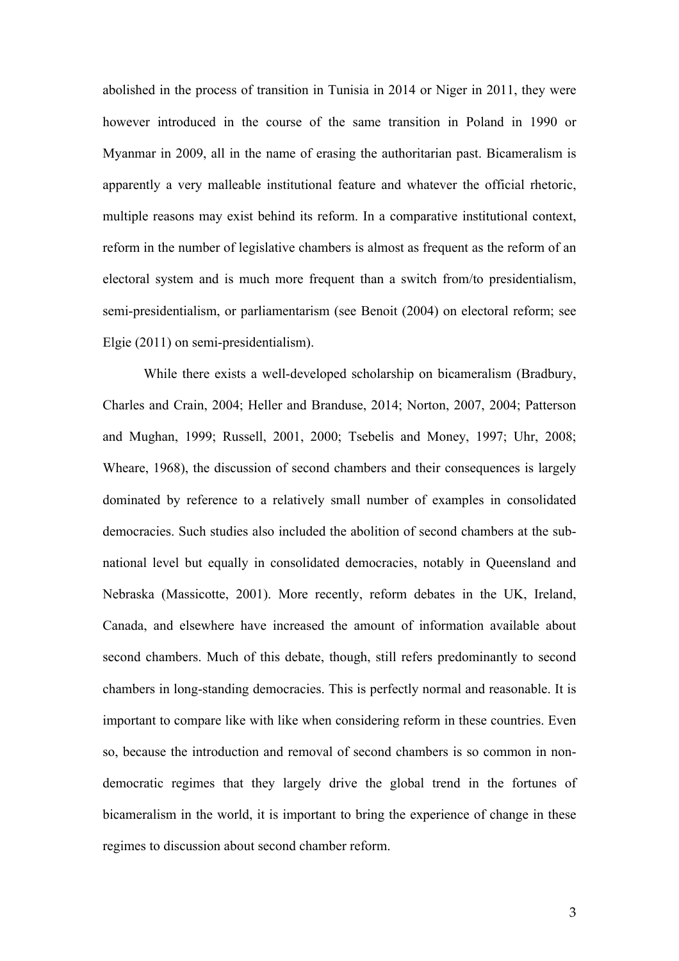abolished in the process of transition in Tunisia in 2014 or Niger in 2011, they were however introduced in the course of the same transition in Poland in 1990 or Myanmar in 2009, all in the name of erasing the authoritarian past. Bicameralism is apparently a very malleable institutional feature and whatever the official rhetoric, multiple reasons may exist behind its reform. In a comparative institutional context, reform in the number of legislative chambers is almost as frequent as the reform of an electoral system and is much more frequent than a switch from/to presidentialism, semi-presidentialism, or parliamentarism (see Benoit (2004) on electoral reform; see Elgie (2011) on semi-presidentialism).

While there exists a well-developed scholarship on bicameralism (Bradbury, Charles and Crain, 2004; Heller and Branduse, 2014; Norton, 2007, 2004; Patterson and Mughan, 1999; Russell, 2001, 2000; Tsebelis and Money, 1997; Uhr, 2008; Wheare, 1968), the discussion of second chambers and their consequences is largely dominated by reference to a relatively small number of examples in consolidated democracies. Such studies also included the abolition of second chambers at the subnational level but equally in consolidated democracies, notably in Queensland and Nebraska (Massicotte, 2001). More recently, reform debates in the UK, Ireland, Canada, and elsewhere have increased the amount of information available about second chambers. Much of this debate, though, still refers predominantly to second chambers in long-standing democracies. This is perfectly normal and reasonable. It is important to compare like with like when considering reform in these countries. Even so, because the introduction and removal of second chambers is so common in nondemocratic regimes that they largely drive the global trend in the fortunes of bicameralism in the world, it is important to bring the experience of change in these regimes to discussion about second chamber reform.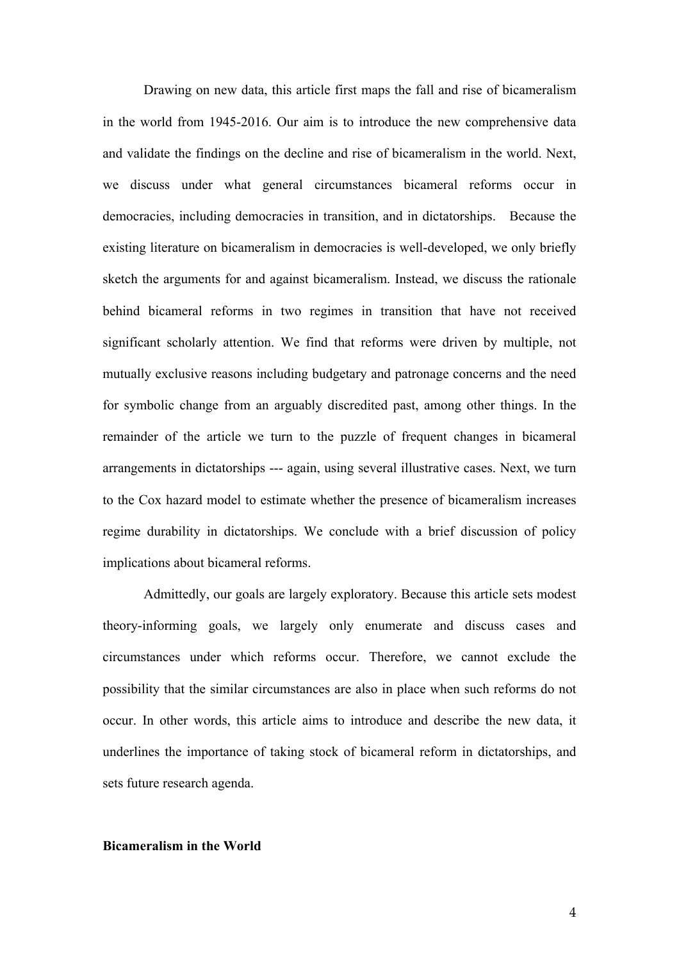Drawing on new data, this article first maps the fall and rise of bicameralism in the world from 1945-2016. Our aim is to introduce the new comprehensive data and validate the findings on the decline and rise of bicameralism in the world. Next, we discuss under what general circumstances bicameral reforms occur in democracies, including democracies in transition, and in dictatorships. Because the existing literature on bicameralism in democracies is well-developed, we only briefly sketch the arguments for and against bicameralism. Instead, we discuss the rationale behind bicameral reforms in two regimes in transition that have not received significant scholarly attention. We find that reforms were driven by multiple, not mutually exclusive reasons including budgetary and patronage concerns and the need for symbolic change from an arguably discredited past, among other things. In the remainder of the article we turn to the puzzle of frequent changes in bicameral arrangements in dictatorships --- again, using several illustrative cases. Next, we turn to the Cox hazard model to estimate whether the presence of bicameralism increases regime durability in dictatorships. We conclude with a brief discussion of policy implications about bicameral reforms.

Admittedly, our goals are largely exploratory. Because this article sets modest theory-informing goals, we largely only enumerate and discuss cases and circumstances under which reforms occur. Therefore, we cannot exclude the possibility that the similar circumstances are also in place when such reforms do not occur. In other words, this article aims to introduce and describe the new data, it underlines the importance of taking stock of bicameral reform in dictatorships, and sets future research agenda.

# **Bicameralism in the World**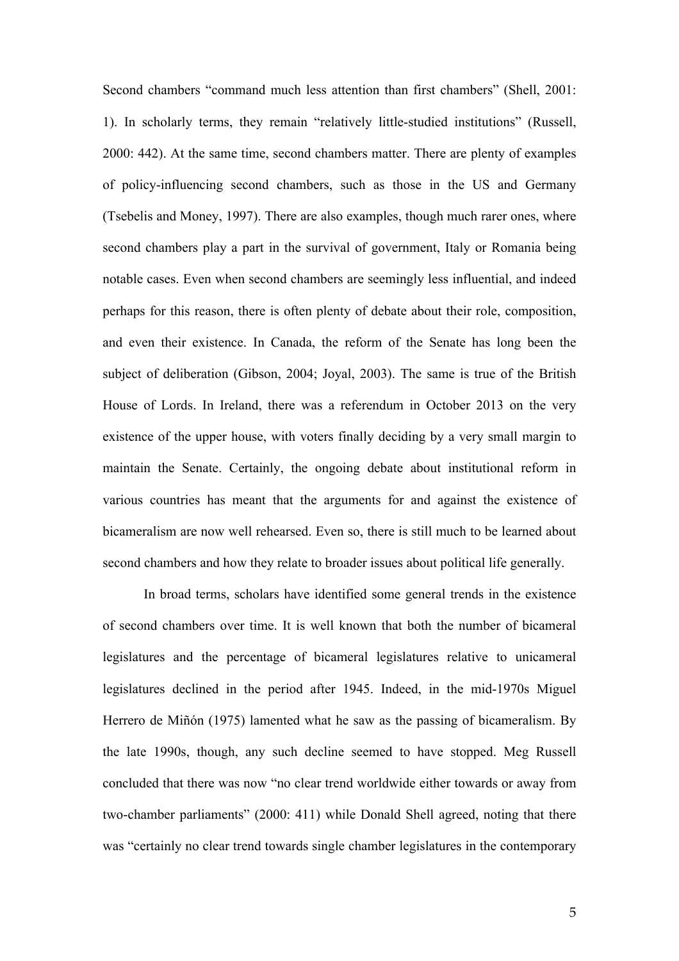Second chambers "command much less attention than first chambers" (Shell, 2001: 1). In scholarly terms, they remain "relatively little-studied institutions" (Russell, 2000: 442). At the same time, second chambers matter. There are plenty of examples of policy-influencing second chambers, such as those in the US and Germany (Tsebelis and Money, 1997). There are also examples, though much rarer ones, where second chambers play a part in the survival of government, Italy or Romania being notable cases. Even when second chambers are seemingly less influential, and indeed perhaps for this reason, there is often plenty of debate about their role, composition, and even their existence. In Canada, the reform of the Senate has long been the subject of deliberation (Gibson, 2004; Joyal, 2003). The same is true of the British House of Lords. In Ireland, there was a referendum in October 2013 on the very existence of the upper house, with voters finally deciding by a very small margin to maintain the Senate. Certainly, the ongoing debate about institutional reform in various countries has meant that the arguments for and against the existence of bicameralism are now well rehearsed. Even so, there is still much to be learned about second chambers and how they relate to broader issues about political life generally.

In broad terms, scholars have identified some general trends in the existence of second chambers over time. It is well known that both the number of bicameral legislatures and the percentage of bicameral legislatures relative to unicameral legislatures declined in the period after 1945. Indeed, in the mid-1970s Miguel Herrero de Miñón (1975) lamented what he saw as the passing of bicameralism. By the late 1990s, though, any such decline seemed to have stopped. Meg Russell concluded that there was now "no clear trend worldwide either towards or away from two-chamber parliaments" (2000: 411) while Donald Shell agreed, noting that there was "certainly no clear trend towards single chamber legislatures in the contemporary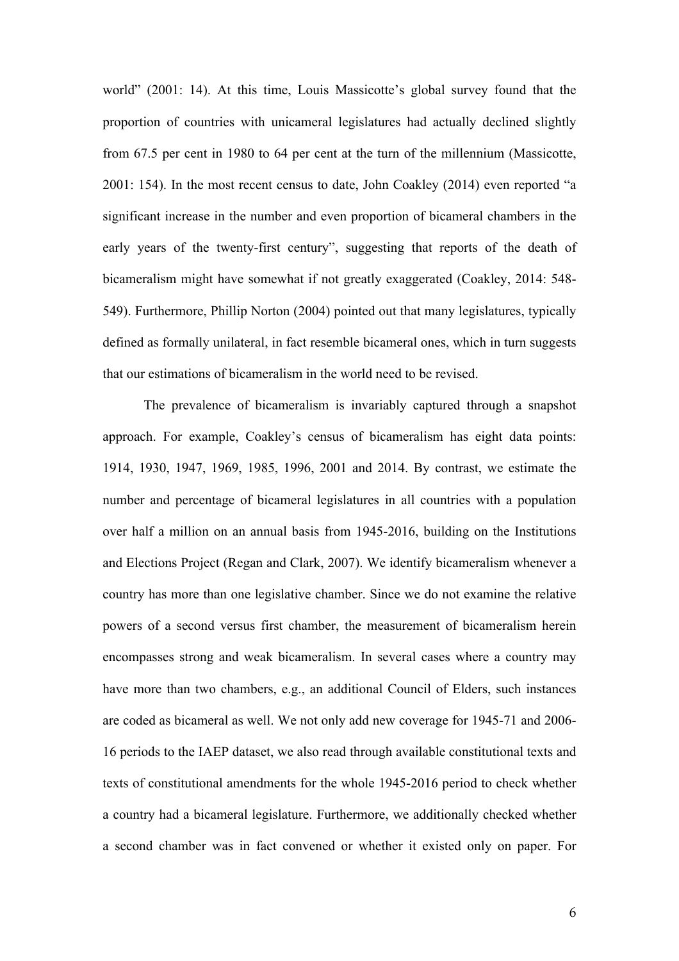world" (2001: 14). At this time, Louis Massicotte's global survey found that the proportion of countries with unicameral legislatures had actually declined slightly from 67.5 per cent in 1980 to 64 per cent at the turn of the millennium (Massicotte, 2001: 154). In the most recent census to date, John Coakley (2014) even reported "a significant increase in the number and even proportion of bicameral chambers in the early years of the twenty-first century", suggesting that reports of the death of bicameralism might have somewhat if not greatly exaggerated (Coakley, 2014: 548- 549). Furthermore, Phillip Norton (2004) pointed out that many legislatures, typically defined as formally unilateral, in fact resemble bicameral ones, which in turn suggests that our estimations of bicameralism in the world need to be revised.

The prevalence of bicameralism is invariably captured through a snapshot approach. For example, Coakley's census of bicameralism has eight data points: 1914, 1930, 1947, 1969, 1985, 1996, 2001 and 2014. By contrast, we estimate the number and percentage of bicameral legislatures in all countries with a population over half a million on an annual basis from 1945-2016, building on the Institutions and Elections Project (Regan and Clark, 2007). We identify bicameralism whenever a country has more than one legislative chamber. Since we do not examine the relative powers of a second versus first chamber, the measurement of bicameralism herein encompasses strong and weak bicameralism. In several cases where a country may have more than two chambers, e.g., an additional Council of Elders, such instances are coded as bicameral as well. We not only add new coverage for 1945-71 and 2006- 16 periods to the IAEP dataset, we also read through available constitutional texts and texts of constitutional amendments for the whole 1945-2016 period to check whether a country had a bicameral legislature. Furthermore, we additionally checked whether a second chamber was in fact convened or whether it existed only on paper. For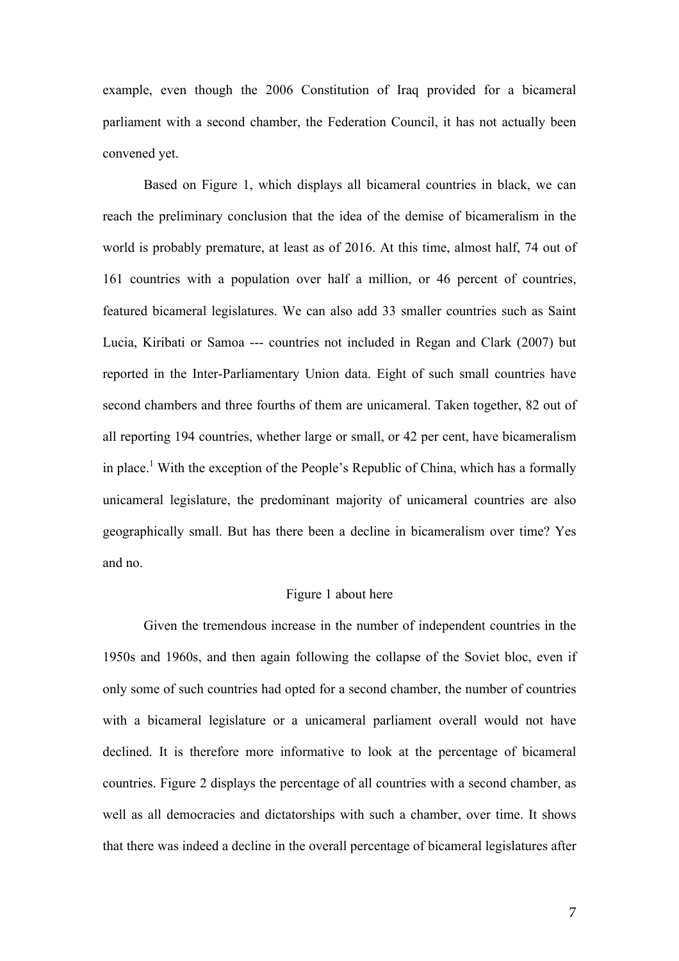example, even though the 2006 Constitution of Iraq provided for a bicameral parliament with a second chamber, the Federation Council, it has not actually been convened yet.

Based on Figure 1, which displays all bicameral countries in black, we can reach the preliminary conclusion that the idea of the demise of bicameralism in the world is probably premature, at least as of 2016. At this time, almost half, 74 out of 161 countries with a population over half a million, or 46 percent of countries, featured bicameral legislatures. We can also add 33 smaller countries such as Saint Lucia, Kiribati or Samoa --- countries not included in Regan and Clark (2007) but reported in the Inter-Parliamentary Union data. Eight of such small countries have second chambers and three fourths of them are unicameral. Taken together, 82 out of all reporting 194 countries, whether large or small, or 42 per cent, have bicameralism in place.<sup>1</sup> With the exception of the People's Republic of China, which has a formally unicameral legislature, the predominant majority of unicameral countries are also geographically small. But has there been a decline in bicameralism over time? Yes and no.

# Figure 1 about here

Given the tremendous increase in the number of independent countries in the 1950s and 1960s, and then again following the collapse of the Soviet bloc, even if only some of such countries had opted for a second chamber, the number of countries with a bicameral legislature or a unicameral parliament overall would not have declined. It is therefore more informative to look at the percentage of bicameral countries. Figure 2 displays the percentage of all countries with a second chamber, as well as all democracies and dictatorships with such a chamber, over time. It shows that there was indeed a decline in the overall percentage of bicameral legislatures after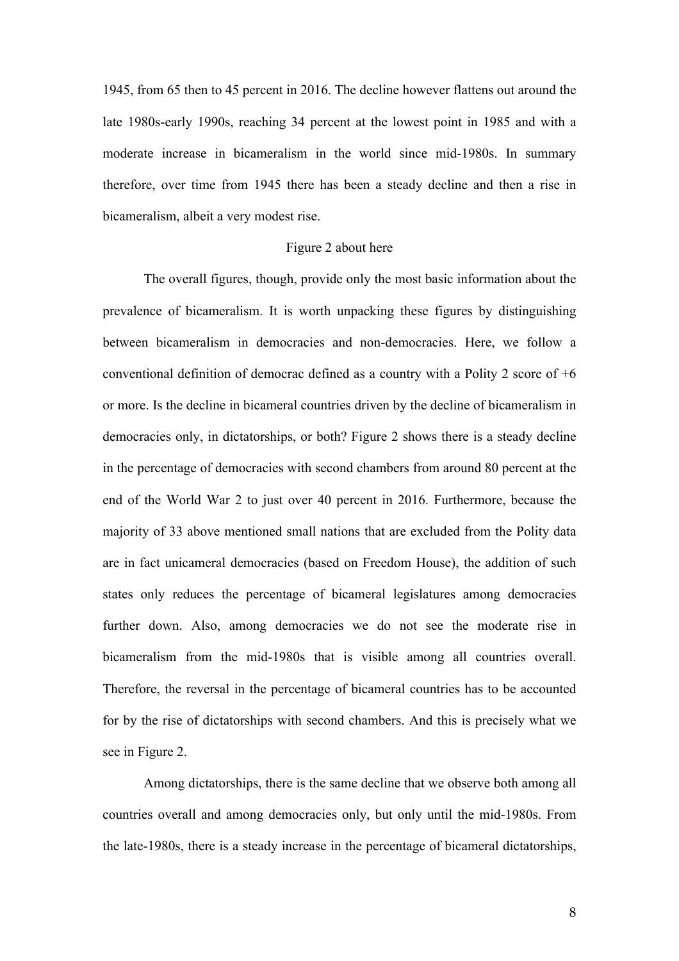1945, from 65 then to 45 percent in 2016. The decline however flattens out around the late 1980s-early 1990s, reaching 34 percent at the lowest point in 1985 and with a moderate increase in bicameralism in the world since mid-1980s. In summary therefore, over time from 1945 there has been a steady decline and then a rise in bicameralism, albeit a very modest rise.

#### Figure 2 about here

The overall figures, though, provide only the most basic information about the prevalence of bicameralism. It is worth unpacking these figures by distinguishing between bicameralism in democracies and non-democracies. Here, we follow a conventional definition of democrac defined as a country with a Polity 2 score of +6 or more. Is the decline in bicameral countries driven by the decline of bicameralism in democracies only, in dictatorships, or both? Figure 2 shows there is a steady decline in the percentage of democracies with second chambers from around 80 percent at the end of the World War 2 to just over 40 percent in 2016. Furthermore, because the majority of 33 above mentioned small nations that are excluded from the Polity data are in fact unicameral democracies (based on Freedom House), the addition of such states only reduces the percentage of bicameral legislatures among democracies further down. Also, among democracies we do not see the moderate rise in bicameralism from the mid-1980s that is visible among all countries overall. Therefore, the reversal in the percentage of bicameral countries has to be accounted for by the rise of dictatorships with second chambers. And this is precisely what we see in Figure 2.

Among dictatorships, there is the same decline that we observe both among all countries overall and among democracies only, but only until the mid-1980s. From the late-1980s, there is a steady increase in the percentage of bicameral dictatorships,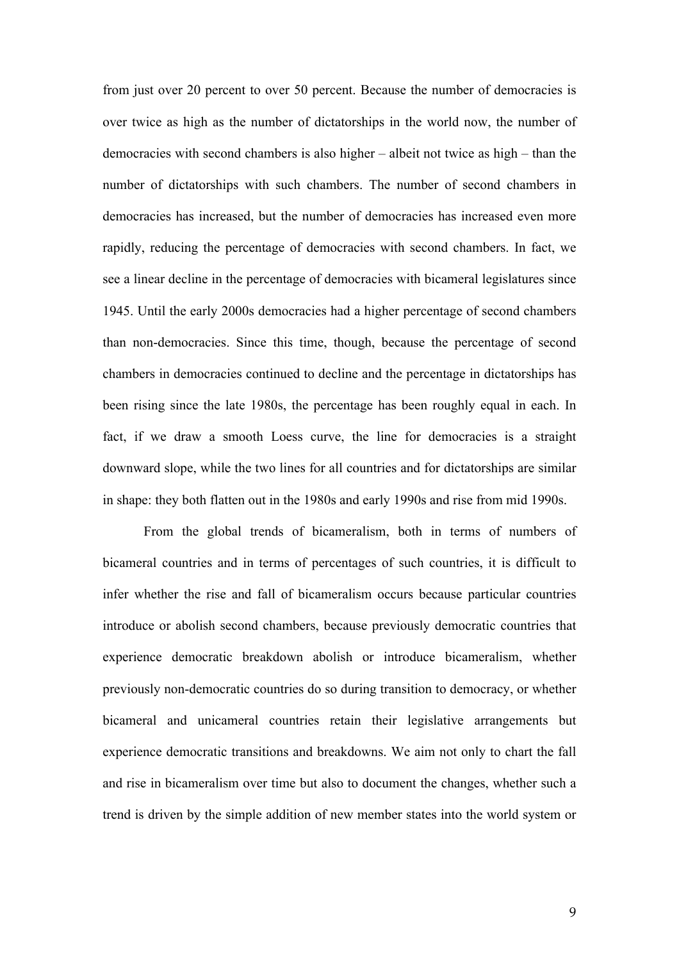from just over 20 percent to over 50 percent. Because the number of democracies is over twice as high as the number of dictatorships in the world now, the number of democracies with second chambers is also higher – albeit not twice as high – than the number of dictatorships with such chambers. The number of second chambers in democracies has increased, but the number of democracies has increased even more rapidly, reducing the percentage of democracies with second chambers. In fact, we see a linear decline in the percentage of democracies with bicameral legislatures since 1945. Until the early 2000s democracies had a higher percentage of second chambers than non-democracies. Since this time, though, because the percentage of second chambers in democracies continued to decline and the percentage in dictatorships has been rising since the late 1980s, the percentage has been roughly equal in each. In fact, if we draw a smooth Loess curve, the line for democracies is a straight downward slope, while the two lines for all countries and for dictatorships are similar in shape: they both flatten out in the 1980s and early 1990s and rise from mid 1990s.

From the global trends of bicameralism, both in terms of numbers of bicameral countries and in terms of percentages of such countries, it is difficult to infer whether the rise and fall of bicameralism occurs because particular countries introduce or abolish second chambers, because previously democratic countries that experience democratic breakdown abolish or introduce bicameralism, whether previously non-democratic countries do so during transition to democracy, or whether bicameral and unicameral countries retain their legislative arrangements but experience democratic transitions and breakdowns. We aim not only to chart the fall and rise in bicameralism over time but also to document the changes, whether such a trend is driven by the simple addition of new member states into the world system or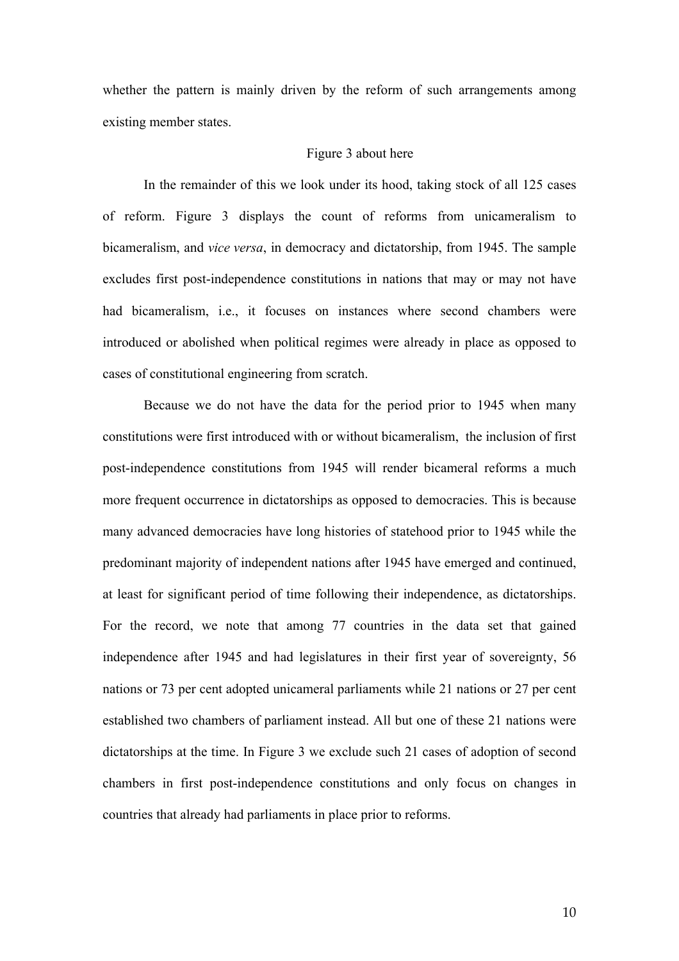whether the pattern is mainly driven by the reform of such arrangements among existing member states.

#### Figure 3 about here

In the remainder of this we look under its hood, taking stock of all 125 cases of reform. Figure 3 displays the count of reforms from unicameralism to bicameralism, and *vice versa*, in democracy and dictatorship, from 1945. The sample excludes first post-independence constitutions in nations that may or may not have had bicameralism, i.e., it focuses on instances where second chambers were introduced or abolished when political regimes were already in place as opposed to cases of constitutional engineering from scratch.

Because we do not have the data for the period prior to 1945 when many constitutions were first introduced with or without bicameralism, the inclusion of first post-independence constitutions from 1945 will render bicameral reforms a much more frequent occurrence in dictatorships as opposed to democracies. This is because many advanced democracies have long histories of statehood prior to 1945 while the predominant majority of independent nations after 1945 have emerged and continued, at least for significant period of time following their independence, as dictatorships. For the record, we note that among 77 countries in the data set that gained independence after 1945 and had legislatures in their first year of sovereignty, 56 nations or 73 per cent adopted unicameral parliaments while 21 nations or 27 per cent established two chambers of parliament instead. All but one of these 21 nations were dictatorships at the time. In Figure 3 we exclude such 21 cases of adoption of second chambers in first post-independence constitutions and only focus on changes in countries that already had parliaments in place prior to reforms.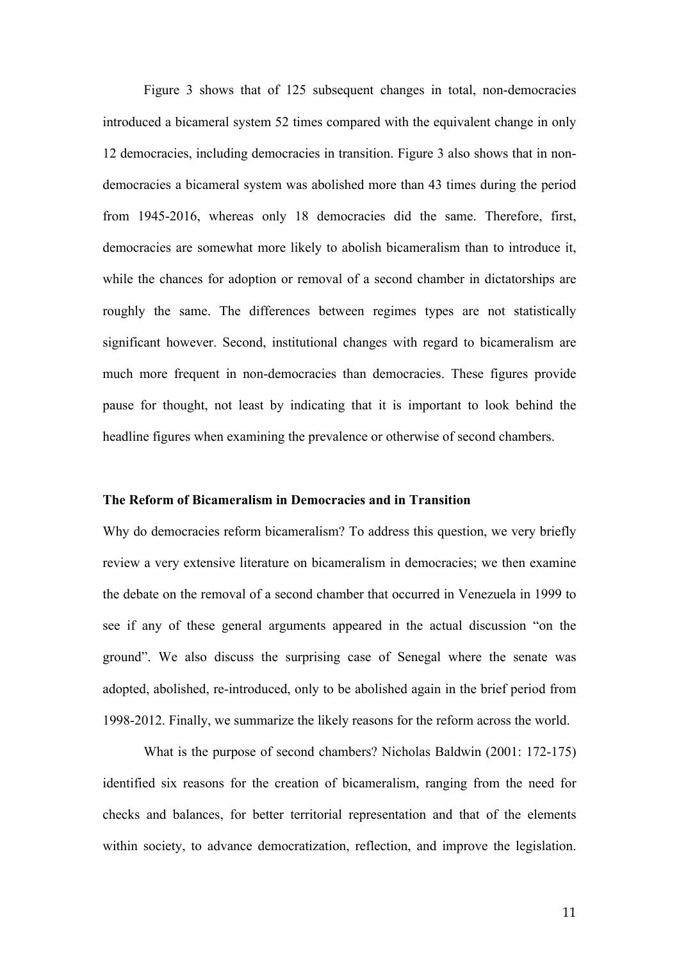Figure 3 shows that of 125 subsequent changes in total, non-democracies introduced a bicameral system 52 times compared with the equivalent change in only 12 democracies, including democracies in transition. Figure 3 also shows that in nondemocracies a bicameral system was abolished more than 43 times during the period from 1945-2016, whereas only 18 democracies did the same. Therefore, first, democracies are somewhat more likely to abolish bicameralism than to introduce it, while the chances for adoption or removal of a second chamber in dictatorships are roughly the same. The differences between regimes types are not statistically significant however. Second, institutional changes with regard to bicameralism are much more frequent in non-democracies than democracies. These figures provide pause for thought, not least by indicating that it is important to look behind the headline figures when examining the prevalence or otherwise of second chambers.

## **The Reform of Bicameralism in Democracies and in Transition**

Why do democracies reform bicameralism? To address this question, we very briefly review a very extensive literature on bicameralism in democracies; we then examine the debate on the removal of a second chamber that occurred in Venezuela in 1999 to see if any of these general arguments appeared in the actual discussion "on the ground". We also discuss the surprising case of Senegal where the senate was adopted, abolished, re-introduced, only to be abolished again in the brief period from 1998-2012. Finally, we summarize the likely reasons for the reform across the world.

What is the purpose of second chambers? Nicholas Baldwin (2001: 172-175) identified six reasons for the creation of bicameralism, ranging from the need for checks and balances, for better territorial representation and that of the elements within society, to advance democratization, reflection, and improve the legislation.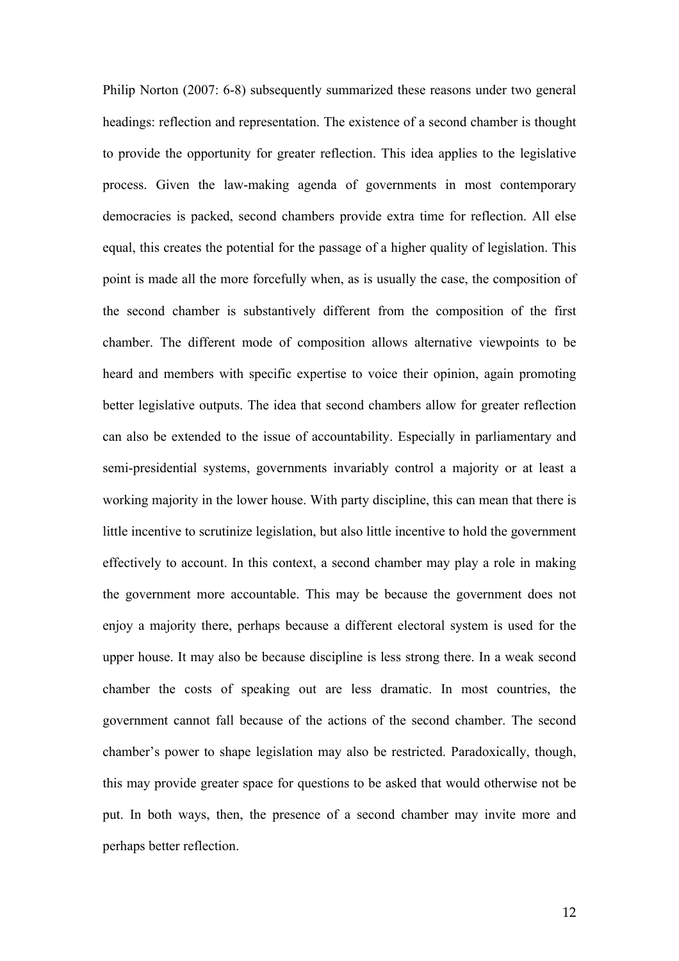Philip Norton (2007: 6-8) subsequently summarized these reasons under two general headings: reflection and representation. The existence of a second chamber is thought to provide the opportunity for greater reflection. This idea applies to the legislative process. Given the law-making agenda of governments in most contemporary democracies is packed, second chambers provide extra time for reflection. All else equal, this creates the potential for the passage of a higher quality of legislation. This point is made all the more forcefully when, as is usually the case, the composition of the second chamber is substantively different from the composition of the first chamber. The different mode of composition allows alternative viewpoints to be heard and members with specific expertise to voice their opinion, again promoting better legislative outputs. The idea that second chambers allow for greater reflection can also be extended to the issue of accountability. Especially in parliamentary and semi-presidential systems, governments invariably control a majority or at least a working majority in the lower house. With party discipline, this can mean that there is little incentive to scrutinize legislation, but also little incentive to hold the government effectively to account. In this context, a second chamber may play a role in making the government more accountable. This may be because the government does not enjoy a majority there, perhaps because a different electoral system is used for the upper house. It may also be because discipline is less strong there. In a weak second chamber the costs of speaking out are less dramatic. In most countries, the government cannot fall because of the actions of the second chamber. The second chamber's power to shape legislation may also be restricted. Paradoxically, though, this may provide greater space for questions to be asked that would otherwise not be put. In both ways, then, the presence of a second chamber may invite more and perhaps better reflection.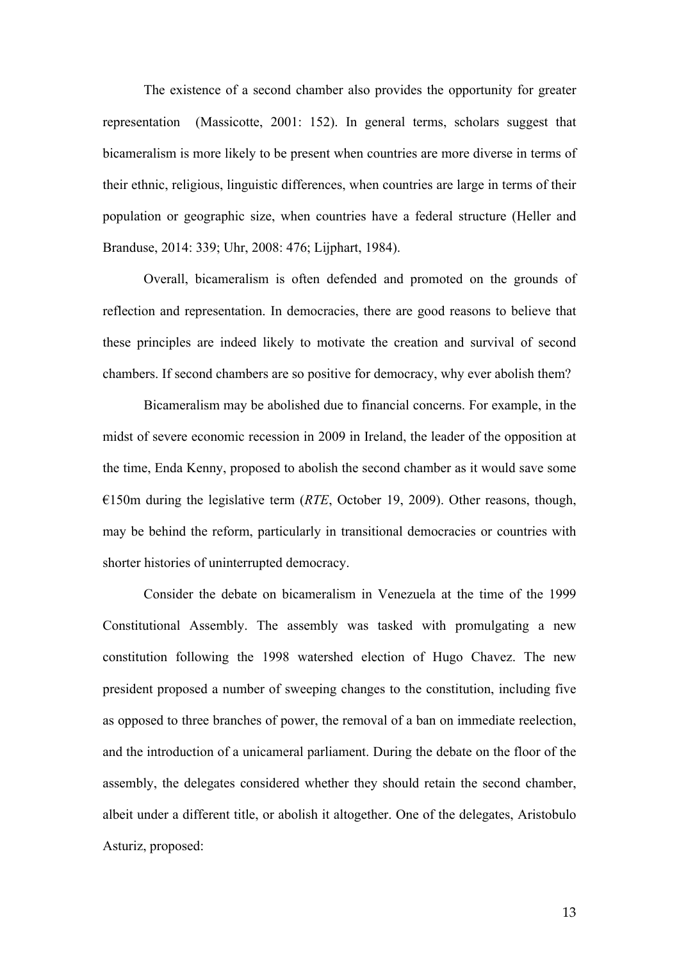The existence of a second chamber also provides the opportunity for greater representation (Massicotte, 2001: 152). In general terms, scholars suggest that bicameralism is more likely to be present when countries are more diverse in terms of their ethnic, religious, linguistic differences, when countries are large in terms of their population or geographic size, when countries have a federal structure (Heller and Branduse, 2014: 339; Uhr, 2008: 476; Lijphart, 1984).

Overall, bicameralism is often defended and promoted on the grounds of reflection and representation. In democracies, there are good reasons to believe that these principles are indeed likely to motivate the creation and survival of second chambers. If second chambers are so positive for democracy, why ever abolish them?

Bicameralism may be abolished due to financial concerns. For example, in the midst of severe economic recession in 2009 in Ireland, the leader of the opposition at the time, Enda Kenny, proposed to abolish the second chamber as it would save some €150m during the legislative term (*RTE*, October 19, 2009). Other reasons, though, may be behind the reform, particularly in transitional democracies or countries with shorter histories of uninterrupted democracy.

Consider the debate on bicameralism in Venezuela at the time of the 1999 Constitutional Assembly. The assembly was tasked with promulgating a new constitution following the 1998 watershed election of Hugo Chavez. The new president proposed a number of sweeping changes to the constitution, including five as opposed to three branches of power, the removal of a ban on immediate reelection, and the introduction of a unicameral parliament. During the debate on the floor of the assembly, the delegates considered whether they should retain the second chamber, albeit under a different title, or abolish it altogether. One of the delegates, Aristobulo Asturiz, proposed: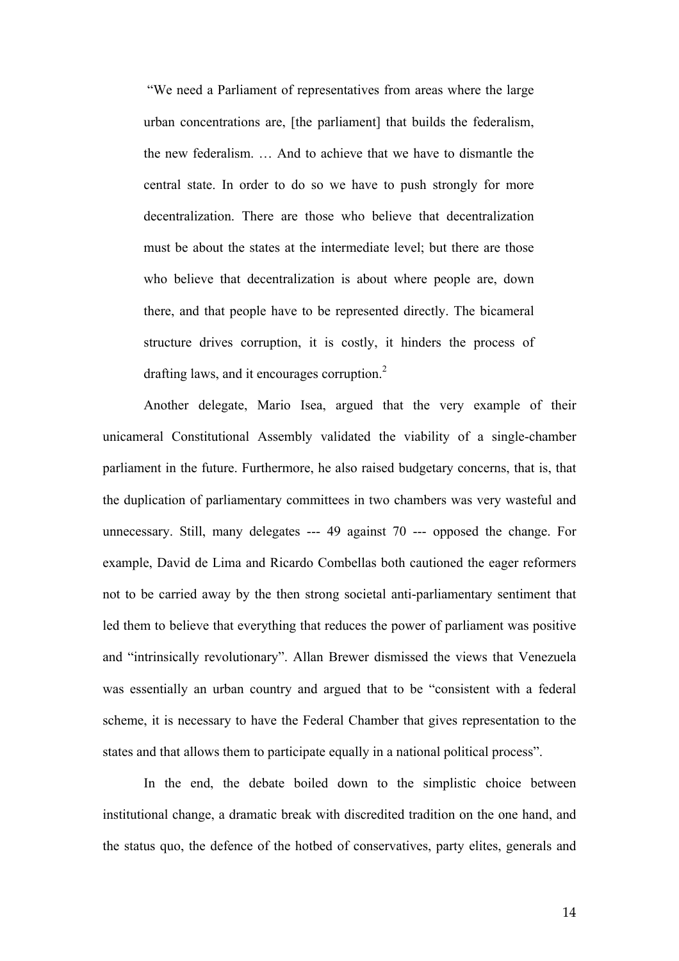"We need a Parliament of representatives from areas where the large urban concentrations are, [the parliament] that builds the federalism, the new federalism. … And to achieve that we have to dismantle the central state. In order to do so we have to push strongly for more decentralization. There are those who believe that decentralization must be about the states at the intermediate level; but there are those who believe that decentralization is about where people are, down there, and that people have to be represented directly. The bicameral structure drives corruption, it is costly, it hinders the process of drafting laws, and it encourages corruption. 2

Another delegate, Mario Isea, argued that the very example of their unicameral Constitutional Assembly validated the viability of a single-chamber parliament in the future. Furthermore, he also raised budgetary concerns, that is, that the duplication of parliamentary committees in two chambers was very wasteful and unnecessary. Still, many delegates --- 49 against 70 --- opposed the change. For example, David de Lima and Ricardo Combellas both cautioned the eager reformers not to be carried away by the then strong societal anti-parliamentary sentiment that led them to believe that everything that reduces the power of parliament was positive and "intrinsically revolutionary". Allan Brewer dismissed the views that Venezuela was essentially an urban country and argued that to be "consistent with a federal scheme, it is necessary to have the Federal Chamber that gives representation to the states and that allows them to participate equally in a national political process".

In the end, the debate boiled down to the simplistic choice between institutional change, a dramatic break with discredited tradition on the one hand, and the status quo, the defence of the hotbed of conservatives, party elites, generals and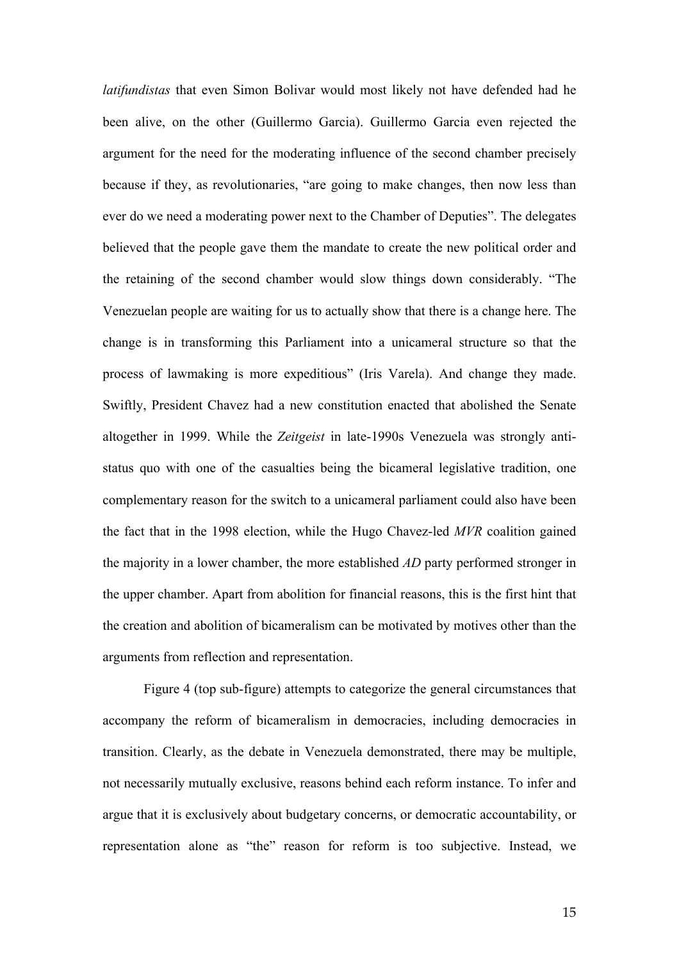*latifundistas* that even Simon Bolivar would most likely not have defended had he been alive, on the other (Guillermo Garcia). Guillermo Garcia even rejected the argument for the need for the moderating influence of the second chamber precisely because if they, as revolutionaries, "are going to make changes, then now less than ever do we need a moderating power next to the Chamber of Deputies". The delegates believed that the people gave them the mandate to create the new political order and the retaining of the second chamber would slow things down considerably. "The Venezuelan people are waiting for us to actually show that there is a change here. The change is in transforming this Parliament into a unicameral structure so that the process of lawmaking is more expeditious" (Iris Varela). And change they made. Swiftly, President Chavez had a new constitution enacted that abolished the Senate altogether in 1999. While the *Zeitgeist* in late-1990s Venezuela was strongly antistatus quo with one of the casualties being the bicameral legislative tradition, one complementary reason for the switch to a unicameral parliament could also have been the fact that in the 1998 election, while the Hugo Chavez-led *MVR* coalition gained the majority in a lower chamber, the more established *AD* party performed stronger in the upper chamber. Apart from abolition for financial reasons, this is the first hint that the creation and abolition of bicameralism can be motivated by motives other than the arguments from reflection and representation.

Figure 4 (top sub-figure) attempts to categorize the general circumstances that accompany the reform of bicameralism in democracies, including democracies in transition. Clearly, as the debate in Venezuela demonstrated, there may be multiple, not necessarily mutually exclusive, reasons behind each reform instance. To infer and argue that it is exclusively about budgetary concerns, or democratic accountability, or representation alone as "the" reason for reform is too subjective. Instead, we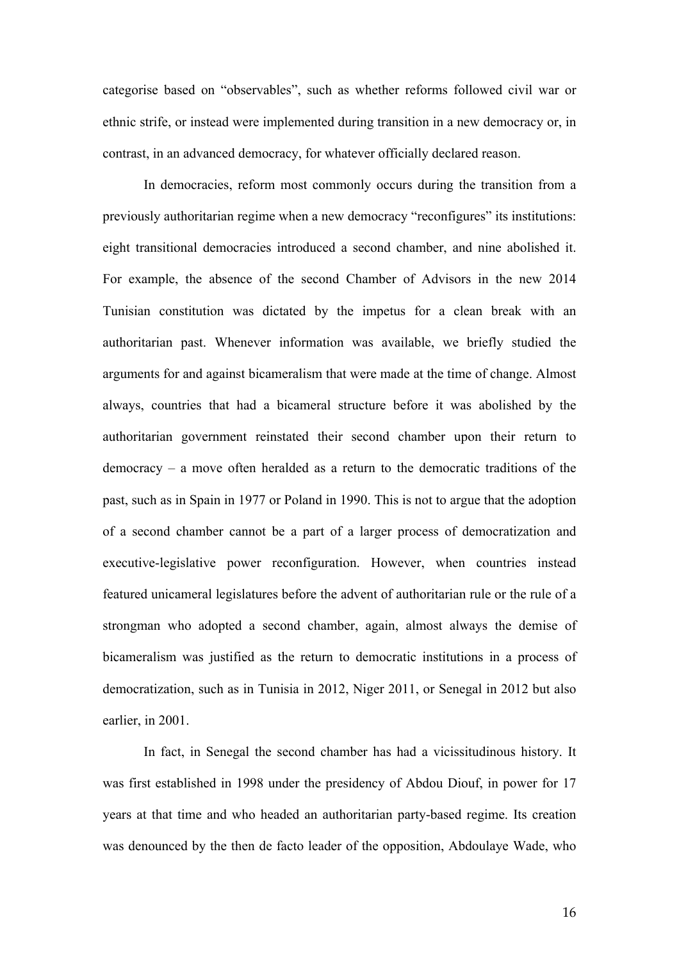categorise based on "observables", such as whether reforms followed civil war or ethnic strife, or instead were implemented during transition in a new democracy or, in contrast, in an advanced democracy, for whatever officially declared reason.

In democracies, reform most commonly occurs during the transition from a previously authoritarian regime when a new democracy "reconfigures" its institutions: eight transitional democracies introduced a second chamber, and nine abolished it. For example, the absence of the second Chamber of Advisors in the new 2014 Tunisian constitution was dictated by the impetus for a clean break with an authoritarian past. Whenever information was available, we briefly studied the arguments for and against bicameralism that were made at the time of change. Almost always, countries that had a bicameral structure before it was abolished by the authoritarian government reinstated their second chamber upon their return to democracy – a move often heralded as a return to the democratic traditions of the past, such as in Spain in 1977 or Poland in 1990. This is not to argue that the adoption of a second chamber cannot be a part of a larger process of democratization and executive-legislative power reconfiguration. However, when countries instead featured unicameral legislatures before the advent of authoritarian rule or the rule of a strongman who adopted a second chamber, again, almost always the demise of bicameralism was justified as the return to democratic institutions in a process of democratization, such as in Tunisia in 2012, Niger 2011, or Senegal in 2012 but also earlier, in 2001.

In fact, in Senegal the second chamber has had a vicissitudinous history. It was first established in 1998 under the presidency of Abdou Diouf, in power for 17 years at that time and who headed an authoritarian party-based regime. Its creation was denounced by the then de facto leader of the opposition, Abdoulaye Wade, who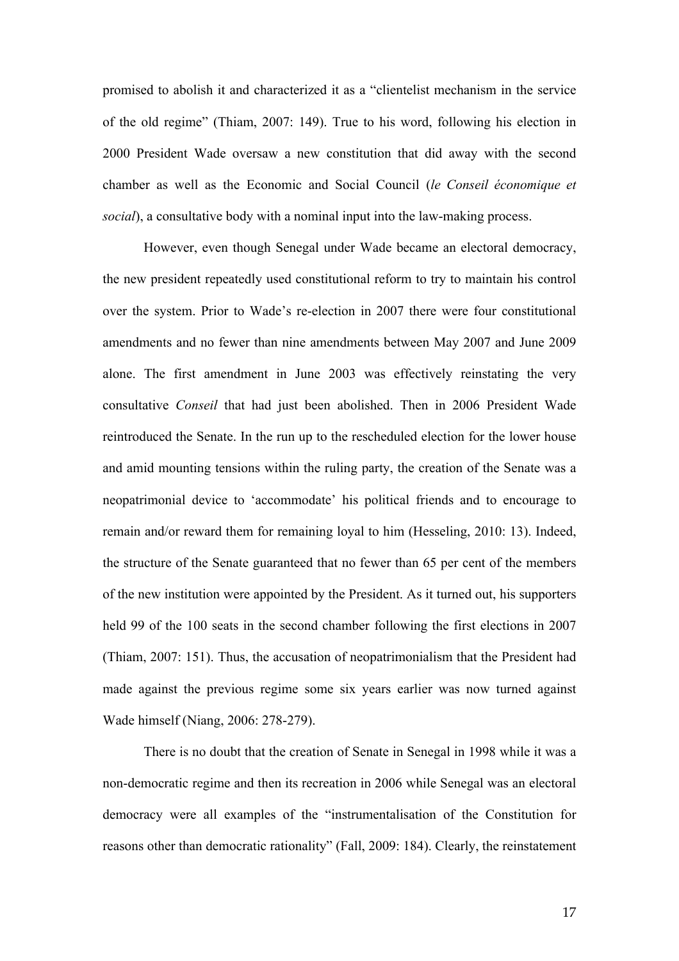promised to abolish it and characterized it as a "clientelist mechanism in the service of the old regime" (Thiam, 2007: 149). True to his word, following his election in 2000 President Wade oversaw a new constitution that did away with the second chamber as well as the Economic and Social Council (*le Conseil économique et social*), a consultative body with a nominal input into the law-making process.

However, even though Senegal under Wade became an electoral democracy, the new president repeatedly used constitutional reform to try to maintain his control over the system. Prior to Wade's re-election in 2007 there were four constitutional amendments and no fewer than nine amendments between May 2007 and June 2009 alone. The first amendment in June 2003 was effectively reinstating the very consultative *Conseil* that had just been abolished. Then in 2006 President Wade reintroduced the Senate. In the run up to the rescheduled election for the lower house and amid mounting tensions within the ruling party, the creation of the Senate was a neopatrimonial device to 'accommodate' his political friends and to encourage to remain and/or reward them for remaining loyal to him (Hesseling, 2010: 13). Indeed, the structure of the Senate guaranteed that no fewer than 65 per cent of the members of the new institution were appointed by the President. As it turned out, his supporters held 99 of the 100 seats in the second chamber following the first elections in 2007 (Thiam, 2007: 151). Thus, the accusation of neopatrimonialism that the President had made against the previous regime some six years earlier was now turned against Wade himself (Niang, 2006: 278-279).

There is no doubt that the creation of Senate in Senegal in 1998 while it was a non-democratic regime and then its recreation in 2006 while Senegal was an electoral democracy were all examples of the "instrumentalisation of the Constitution for reasons other than democratic rationality" (Fall, 2009: 184). Clearly, the reinstatement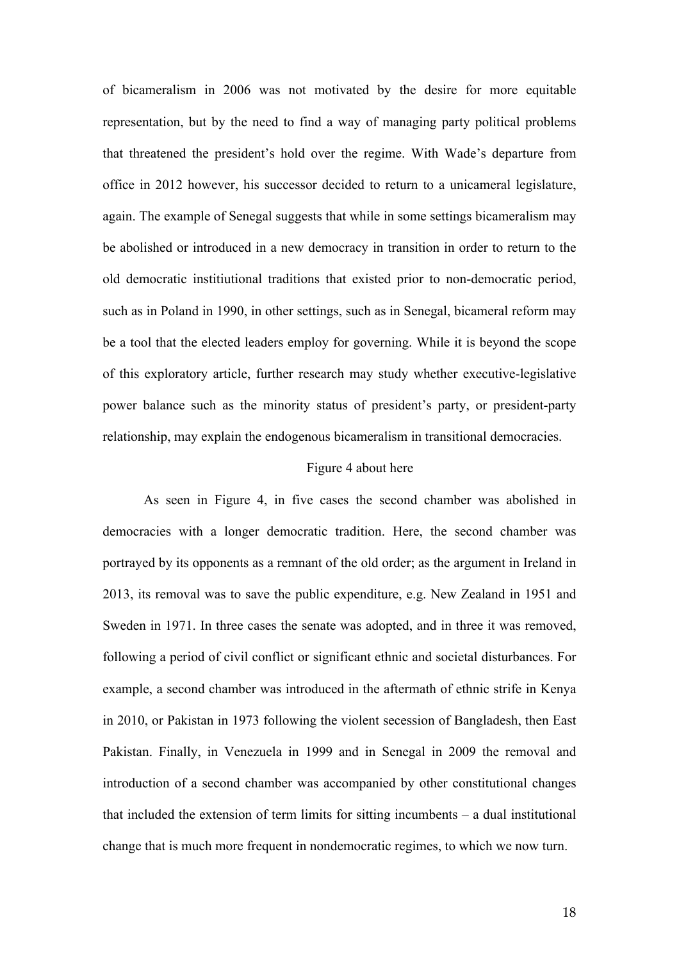of bicameralism in 2006 was not motivated by the desire for more equitable representation, but by the need to find a way of managing party political problems that threatened the president's hold over the regime. With Wade's departure from office in 2012 however, his successor decided to return to a unicameral legislature, again. The example of Senegal suggests that while in some settings bicameralism may be abolished or introduced in a new democracy in transition in order to return to the old democratic institiutional traditions that existed prior to non-democratic period, such as in Poland in 1990, in other settings, such as in Senegal, bicameral reform may be a tool that the elected leaders employ for governing. While it is beyond the scope of this exploratory article, further research may study whether executive-legislative power balance such as the minority status of president's party, or president-party relationship, may explain the endogenous bicameralism in transitional democracies.

## Figure 4 about here

As seen in Figure 4, in five cases the second chamber was abolished in democracies with a longer democratic tradition. Here, the second chamber was portrayed by its opponents as a remnant of the old order; as the argument in Ireland in 2013, its removal was to save the public expenditure, e.g. New Zealand in 1951 and Sweden in 1971. In three cases the senate was adopted, and in three it was removed, following a period of civil conflict or significant ethnic and societal disturbances. For example, a second chamber was introduced in the aftermath of ethnic strife in Kenya in 2010, or Pakistan in 1973 following the violent secession of Bangladesh, then East Pakistan. Finally, in Venezuela in 1999 and in Senegal in 2009 the removal and introduction of a second chamber was accompanied by other constitutional changes that included the extension of term limits for sitting incumbents – a dual institutional change that is much more frequent in nondemocratic regimes, to which we now turn.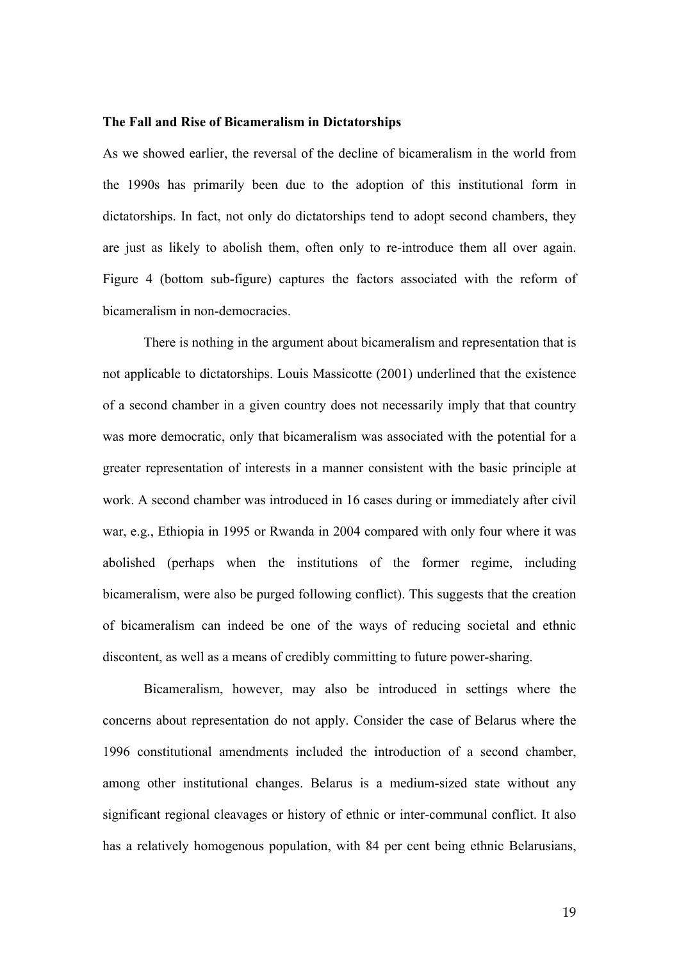#### **The Fall and Rise of Bicameralism in Dictatorships**

As we showed earlier, the reversal of the decline of bicameralism in the world from the 1990s has primarily been due to the adoption of this institutional form in dictatorships. In fact, not only do dictatorships tend to adopt second chambers, they are just as likely to abolish them, often only to re-introduce them all over again. Figure 4 (bottom sub-figure) captures the factors associated with the reform of bicameralism in non-democracies.

There is nothing in the argument about bicameralism and representation that is not applicable to dictatorships. Louis Massicotte (2001) underlined that the existence of a second chamber in a given country does not necessarily imply that that country was more democratic, only that bicameralism was associated with the potential for a greater representation of interests in a manner consistent with the basic principle at work. A second chamber was introduced in 16 cases during or immediately after civil war, e.g., Ethiopia in 1995 or Rwanda in 2004 compared with only four where it was abolished (perhaps when the institutions of the former regime, including bicameralism, were also be purged following conflict). This suggests that the creation of bicameralism can indeed be one of the ways of reducing societal and ethnic discontent, as well as a means of credibly committing to future power-sharing.

Bicameralism, however, may also be introduced in settings where the concerns about representation do not apply. Consider the case of Belarus where the 1996 constitutional amendments included the introduction of a second chamber, among other institutional changes. Belarus is a medium-sized state without any significant regional cleavages or history of ethnic or inter-communal conflict. It also has a relatively homogenous population, with 84 per cent being ethnic Belarusians,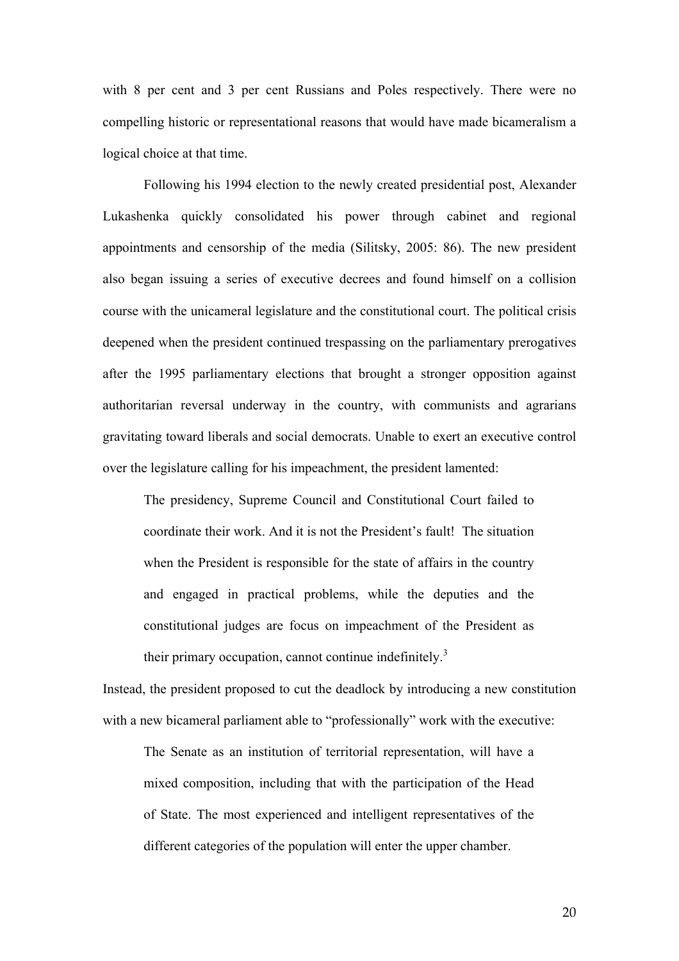with 8 per cent and 3 per cent Russians and Poles respectively. There were no compelling historic or representational reasons that would have made bicameralism a logical choice at that time.

Following his 1994 election to the newly created presidential post, Alexander Lukashenka quickly consolidated his power through cabinet and regional appointments and censorship of the media (Silitsky, 2005: 86). The new president also began issuing a series of executive decrees and found himself on a collision course with the unicameral legislature and the constitutional court. The political crisis deepened when the president continued trespassing on the parliamentary prerogatives after the 1995 parliamentary elections that brought a stronger opposition against authoritarian reversal underway in the country, with communists and agrarians gravitating toward liberals and social democrats. Unable to exert an executive control over the legislature calling for his impeachment, the president lamented:

The presidency, Supreme Council and Constitutional Court failed to coordinate their work. And it is not the President's fault! The situation when the President is responsible for the state of affairs in the country and engaged in practical problems, while the deputies and the constitutional judges are focus on impeachment of the President as their primary occupation, cannot continue indefinitely.<sup>3</sup>

Instead, the president proposed to cut the deadlock by introducing a new constitution with a new bicameral parliament able to "professionally" work with the executive:

The Senate as an institution of territorial representation, will have a mixed composition, including that with the participation of the Head of State. The most experienced and intelligent representatives of the different categories of the population will enter the upper chamber.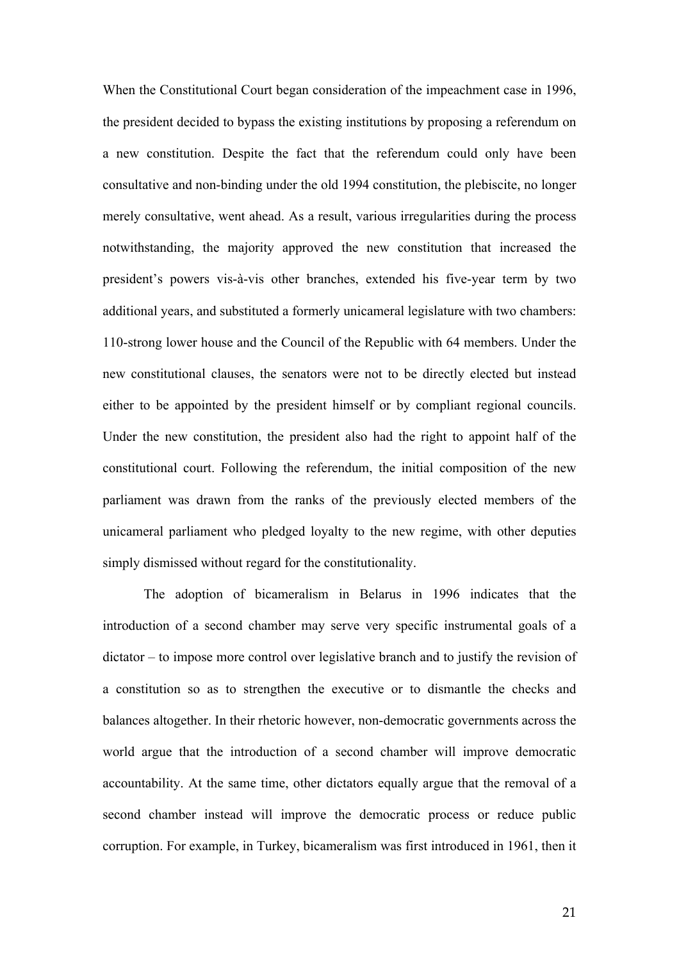When the Constitutional Court began consideration of the impeachment case in 1996, the president decided to bypass the existing institutions by proposing a referendum on a new constitution. Despite the fact that the referendum could only have been consultative and non-binding under the old 1994 constitution, the plebiscite, no longer merely consultative, went ahead. As a result, various irregularities during the process notwithstanding, the majority approved the new constitution that increased the president's powers vis-à-vis other branches, extended his five-year term by two additional years, and substituted a formerly unicameral legislature with two chambers: 110-strong lower house and the Council of the Republic with 64 members. Under the new constitutional clauses, the senators were not to be directly elected but instead either to be appointed by the president himself or by compliant regional councils. Under the new constitution, the president also had the right to appoint half of the constitutional court. Following the referendum, the initial composition of the new parliament was drawn from the ranks of the previously elected members of the unicameral parliament who pledged loyalty to the new regime, with other deputies simply dismissed without regard for the constitutionality.

The adoption of bicameralism in Belarus in 1996 indicates that the introduction of a second chamber may serve very specific instrumental goals of a dictator – to impose more control over legislative branch and to justify the revision of a constitution so as to strengthen the executive or to dismantle the checks and balances altogether. In their rhetoric however, non-democratic governments across the world argue that the introduction of a second chamber will improve democratic accountability. At the same time, other dictators equally argue that the removal of a second chamber instead will improve the democratic process or reduce public corruption. For example, in Turkey, bicameralism was first introduced in 1961, then it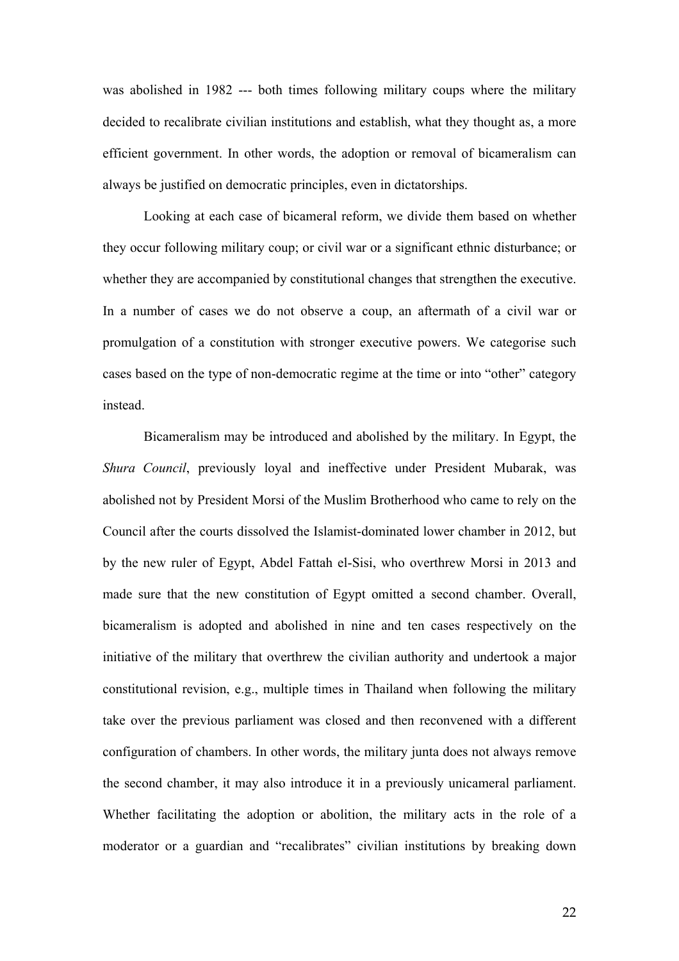was abolished in 1982 --- both times following military coups where the military decided to recalibrate civilian institutions and establish, what they thought as, a more efficient government. In other words, the adoption or removal of bicameralism can always be justified on democratic principles, even in dictatorships.

Looking at each case of bicameral reform, we divide them based on whether they occur following military coup; or civil war or a significant ethnic disturbance; or whether they are accompanied by constitutional changes that strengthen the executive. In a number of cases we do not observe a coup, an aftermath of a civil war or promulgation of a constitution with stronger executive powers. We categorise such cases based on the type of non-democratic regime at the time or into "other" category instead.

Bicameralism may be introduced and abolished by the military. In Egypt, the *Shura Council*, previously loyal and ineffective under President Mubarak, was abolished not by President Morsi of the Muslim Brotherhood who came to rely on the Council after the courts dissolved the Islamist-dominated lower chamber in 2012, but by the new ruler of Egypt, Abdel Fattah el-Sisi, who overthrew Morsi in 2013 and made sure that the new constitution of Egypt omitted a second chamber. Overall, bicameralism is adopted and abolished in nine and ten cases respectively on the initiative of the military that overthrew the civilian authority and undertook a major constitutional revision, e.g., multiple times in Thailand when following the military take over the previous parliament was closed and then reconvened with a different configuration of chambers. In other words, the military junta does not always remove the second chamber, it may also introduce it in a previously unicameral parliament. Whether facilitating the adoption or abolition, the military acts in the role of a moderator or a guardian and "recalibrates" civilian institutions by breaking down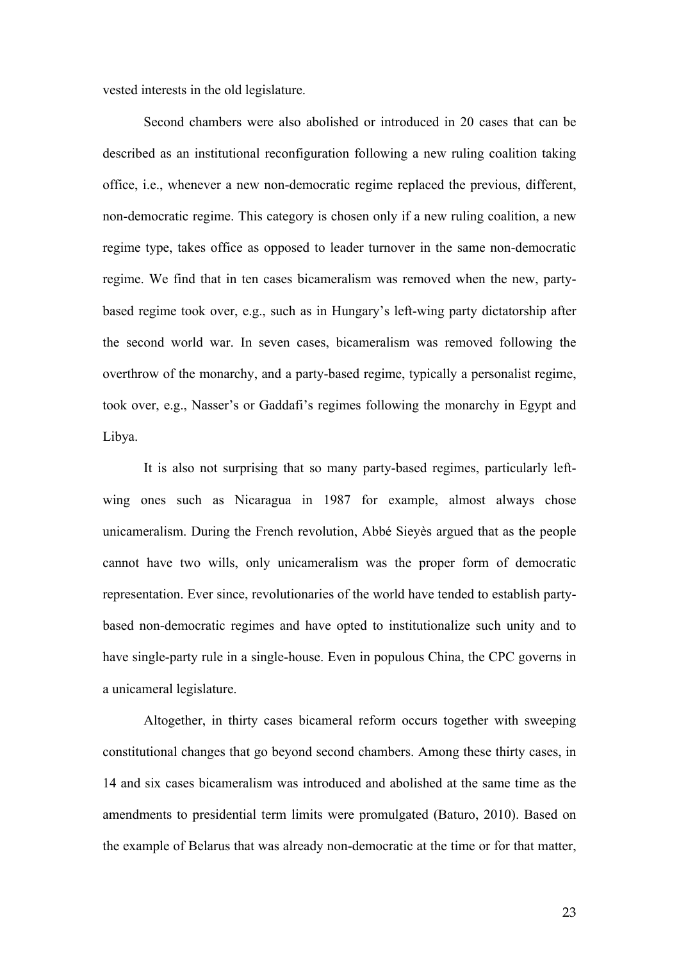vested interests in the old legislature.

Second chambers were also abolished or introduced in 20 cases that can be described as an institutional reconfiguration following a new ruling coalition taking office, i.e., whenever a new non-democratic regime replaced the previous, different, non-democratic regime. This category is chosen only if a new ruling coalition, a new regime type, takes office as opposed to leader turnover in the same non-democratic regime. We find that in ten cases bicameralism was removed when the new, partybased regime took over, e.g., such as in Hungary's left-wing party dictatorship after the second world war. In seven cases, bicameralism was removed following the overthrow of the monarchy, and a party-based regime, typically a personalist regime, took over, e.g., Nasser's or Gaddafi's regimes following the monarchy in Egypt and Libya.

It is also not surprising that so many party-based regimes, particularly leftwing ones such as Nicaragua in 1987 for example, almost always chose unicameralism. During the French revolution, Abbé Sieyès argued that as the people cannot have two wills, only unicameralism was the proper form of democratic representation. Ever since, revolutionaries of the world have tended to establish partybased non-democratic regimes and have opted to institutionalize such unity and to have single-party rule in a single-house. Even in populous China, the CPC governs in a unicameral legislature.

Altogether, in thirty cases bicameral reform occurs together with sweeping constitutional changes that go beyond second chambers. Among these thirty cases, in 14 and six cases bicameralism was introduced and abolished at the same time as the amendments to presidential term limits were promulgated (Baturo, 2010). Based on the example of Belarus that was already non-democratic at the time or for that matter,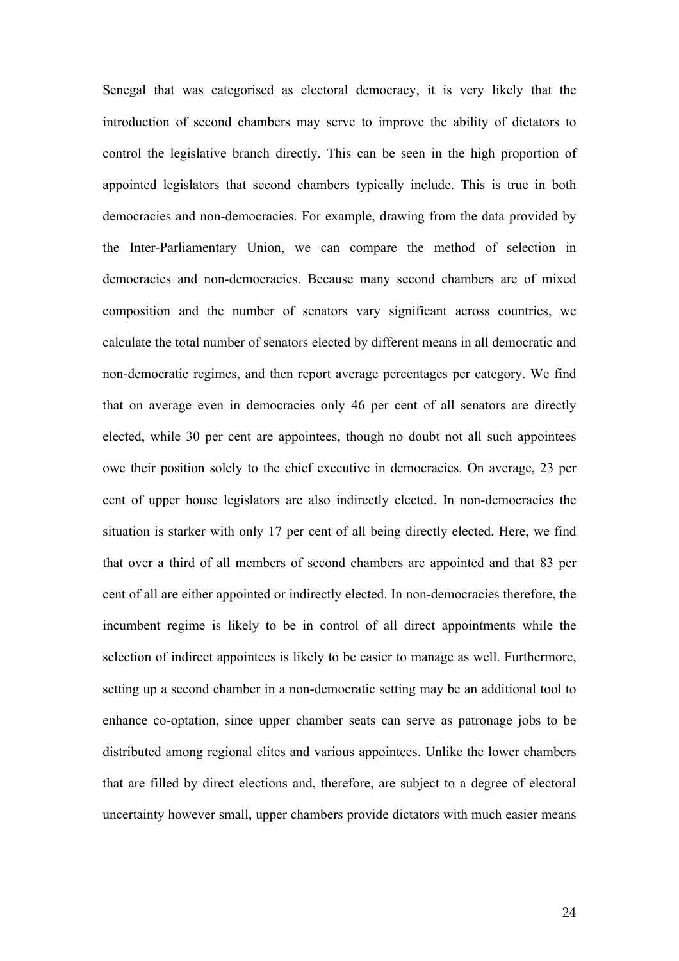Senegal that was categorised as electoral democracy, it is very likely that the introduction of second chambers may serve to improve the ability of dictators to control the legislative branch directly. This can be seen in the high proportion of appointed legislators that second chambers typically include. This is true in both democracies and non-democracies. For example, drawing from the data provided by the Inter-Parliamentary Union, we can compare the method of selection in democracies and non-democracies. Because many second chambers are of mixed composition and the number of senators vary significant across countries, we calculate the total number of senators elected by different means in all democratic and non-democratic regimes, and then report average percentages per category. We find that on average even in democracies only 46 per cent of all senators are directly elected, while 30 per cent are appointees, though no doubt not all such appointees owe their position solely to the chief executive in democracies. On average, 23 per cent of upper house legislators are also indirectly elected. In non-democracies the situation is starker with only 17 per cent of all being directly elected. Here, we find that over a third of all members of second chambers are appointed and that 83 per cent of all are either appointed or indirectly elected. In non-democracies therefore, the incumbent regime is likely to be in control of all direct appointments while the selection of indirect appointees is likely to be easier to manage as well. Furthermore, setting up a second chamber in a non-democratic setting may be an additional tool to enhance co-optation, since upper chamber seats can serve as patronage jobs to be distributed among regional elites and various appointees. Unlike the lower chambers that are filled by direct elections and, therefore, are subject to a degree of electoral uncertainty however small, upper chambers provide dictators with much easier means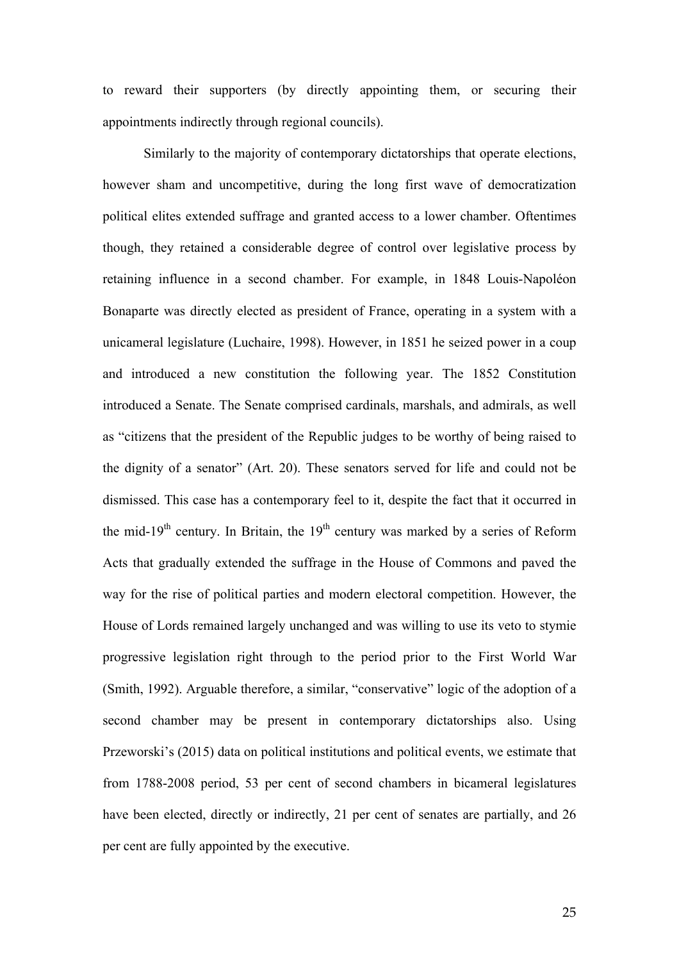to reward their supporters (by directly appointing them, or securing their appointments indirectly through regional councils).

Similarly to the majority of contemporary dictatorships that operate elections, however sham and uncompetitive, during the long first wave of democratization political elites extended suffrage and granted access to a lower chamber. Oftentimes though, they retained a considerable degree of control over legislative process by retaining influence in a second chamber. For example, in 1848 Louis-Napoléon Bonaparte was directly elected as president of France, operating in a system with a unicameral legislature (Luchaire, 1998). However, in 1851 he seized power in a coup and introduced a new constitution the following year. The 1852 Constitution introduced a Senate. The Senate comprised cardinals, marshals, and admirals, as well as "citizens that the president of the Republic judges to be worthy of being raised to the dignity of a senator" (Art. 20). These senators served for life and could not be dismissed. This case has a contemporary feel to it, despite the fact that it occurred in the mid-19<sup>th</sup> century. In Britain, the  $19<sup>th</sup>$  century was marked by a series of Reform Acts that gradually extended the suffrage in the House of Commons and paved the way for the rise of political parties and modern electoral competition. However, the House of Lords remained largely unchanged and was willing to use its veto to stymie progressive legislation right through to the period prior to the First World War (Smith, 1992). Arguable therefore, a similar, "conservative" logic of the adoption of a second chamber may be present in contemporary dictatorships also. Using Przeworski's (2015) data on political institutions and political events, we estimate that from 1788-2008 period, 53 per cent of second chambers in bicameral legislatures have been elected, directly or indirectly, 21 per cent of senates are partially, and 26 per cent are fully appointed by the executive.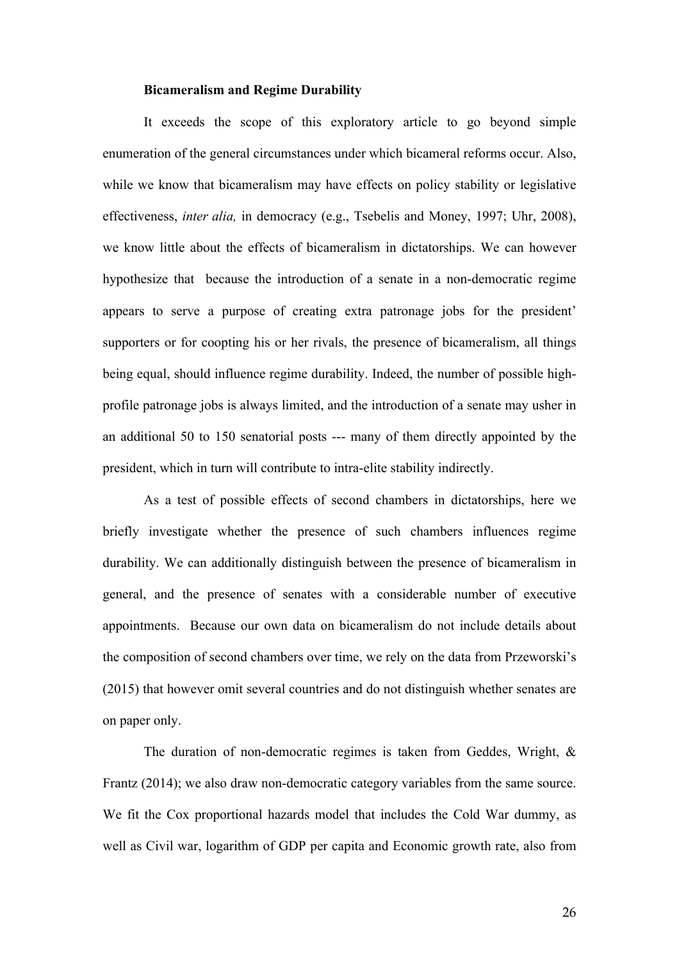## **Bicameralism and Regime Durability**

It exceeds the scope of this exploratory article to go beyond simple enumeration of the general circumstances under which bicameral reforms occur. Also, while we know that bicameralism may have effects on policy stability or legislative effectiveness, *inter alia,* in democracy (e.g., Tsebelis and Money, 1997; Uhr, 2008), we know little about the effects of bicameralism in dictatorships. We can however hypothesize that because the introduction of a senate in a non-democratic regime appears to serve a purpose of creating extra patronage jobs for the president' supporters or for coopting his or her rivals, the presence of bicameralism, all things being equal, should influence regime durability. Indeed, the number of possible highprofile patronage jobs is always limited, and the introduction of a senate may usher in an additional 50 to 150 senatorial posts --- many of them directly appointed by the president, which in turn will contribute to intra-elite stability indirectly.

As a test of possible effects of second chambers in dictatorships, here we briefly investigate whether the presence of such chambers influences regime durability. We can additionally distinguish between the presence of bicameralism in general, and the presence of senates with a considerable number of executive appointments. Because our own data on bicameralism do not include details about the composition of second chambers over time, we rely on the data from Przeworski's (2015) that however omit several countries and do not distinguish whether senates are on paper only.

The duration of non-democratic regimes is taken from Geddes, Wright, & Frantz (2014); we also draw non-democratic category variables from the same source. We fit the Cox proportional hazards model that includes the Cold War dummy, as well as Civil war, logarithm of GDP per capita and Economic growth rate, also from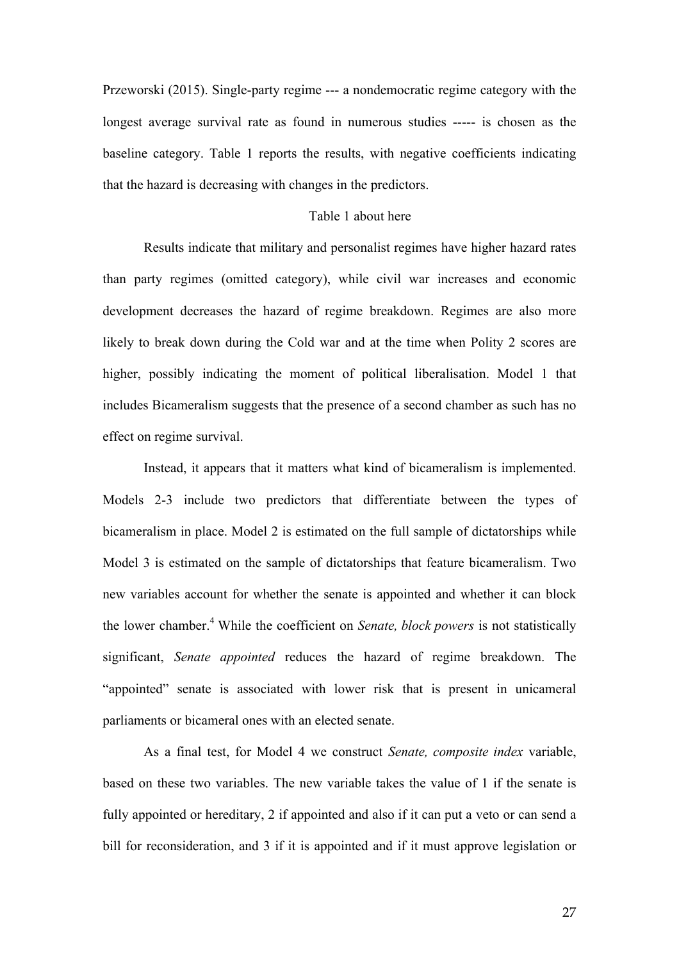Przeworski (2015). Single-party regime --- a nondemocratic regime category with the longest average survival rate as found in numerous studies ----- is chosen as the baseline category. Table 1 reports the results, with negative coefficients indicating that the hazard is decreasing with changes in the predictors.

## Table 1 about here

Results indicate that military and personalist regimes have higher hazard rates than party regimes (omitted category), while civil war increases and economic development decreases the hazard of regime breakdown. Regimes are also more likely to break down during the Cold war and at the time when Polity 2 scores are higher, possibly indicating the moment of political liberalisation. Model 1 that includes Bicameralism suggests that the presence of a second chamber as such has no effect on regime survival.

Instead, it appears that it matters what kind of bicameralism is implemented. Models 2-3 include two predictors that differentiate between the types of bicameralism in place. Model 2 is estimated on the full sample of dictatorships while Model 3 is estimated on the sample of dictatorships that feature bicameralism. Two new variables account for whether the senate is appointed and whether it can block the lower chamber.4 While the coefficient on *Senate, block powers* is not statistically significant, *Senate appointed* reduces the hazard of regime breakdown. The "appointed" senate is associated with lower risk that is present in unicameral parliaments or bicameral ones with an elected senate.

As a final test, for Model 4 we construct *Senate, composite index* variable, based on these two variables. The new variable takes the value of 1 if the senate is fully appointed or hereditary, 2 if appointed and also if it can put a veto or can send a bill for reconsideration, and 3 if it is appointed and if it must approve legislation or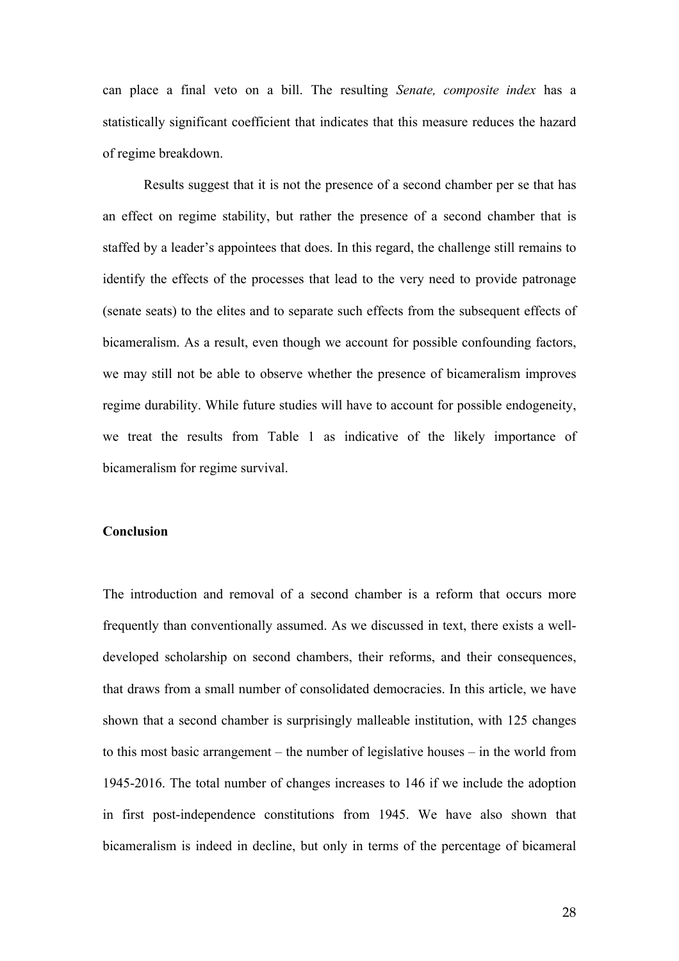can place a final veto on a bill. The resulting *Senate, composite index* has a statistically significant coefficient that indicates that this measure reduces the hazard of regime breakdown.

Results suggest that it is not the presence of a second chamber per se that has an effect on regime stability, but rather the presence of a second chamber that is staffed by a leader's appointees that does. In this regard, the challenge still remains to identify the effects of the processes that lead to the very need to provide patronage (senate seats) to the elites and to separate such effects from the subsequent effects of bicameralism. As a result, even though we account for possible confounding factors, we may still not be able to observe whether the presence of bicameralism improves regime durability. While future studies will have to account for possible endogeneity, we treat the results from Table 1 as indicative of the likely importance of bicameralism for regime survival.

#### **Conclusion**

The introduction and removal of a second chamber is a reform that occurs more frequently than conventionally assumed. As we discussed in text, there exists a welldeveloped scholarship on second chambers, their reforms, and their consequences, that draws from a small number of consolidated democracies. In this article, we have shown that a second chamber is surprisingly malleable institution, with 125 changes to this most basic arrangement – the number of legislative houses – in the world from 1945-2016. The total number of changes increases to 146 if we include the adoption in first post-independence constitutions from 1945. We have also shown that bicameralism is indeed in decline, but only in terms of the percentage of bicameral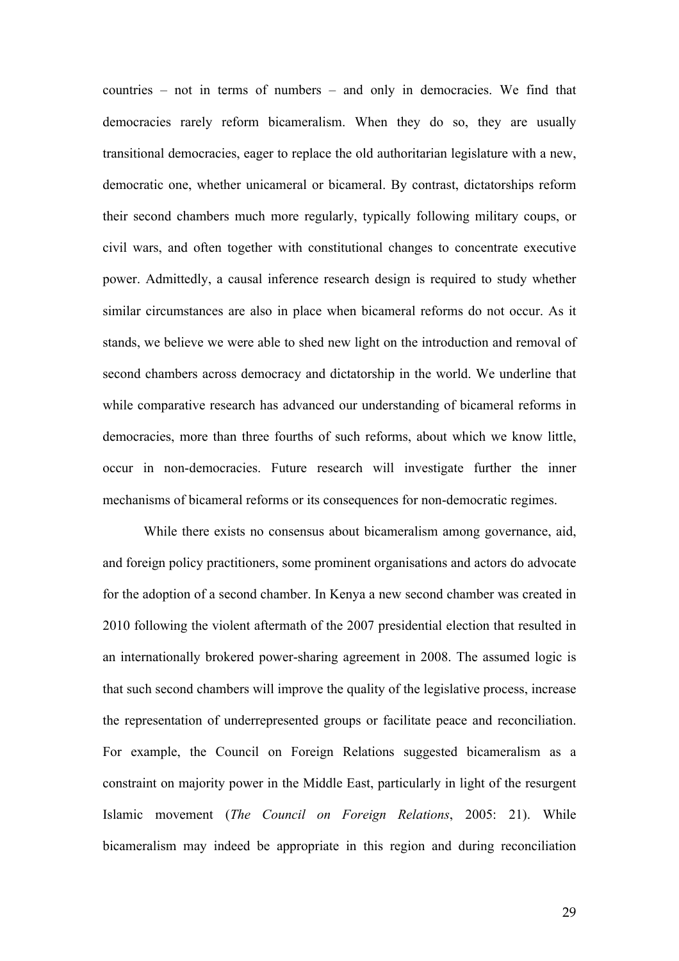countries – not in terms of numbers – and only in democracies. We find that democracies rarely reform bicameralism. When they do so, they are usually transitional democracies, eager to replace the old authoritarian legislature with a new, democratic one, whether unicameral or bicameral. By contrast, dictatorships reform their second chambers much more regularly, typically following military coups, or civil wars, and often together with constitutional changes to concentrate executive power. Admittedly, a causal inference research design is required to study whether similar circumstances are also in place when bicameral reforms do not occur. As it stands, we believe we were able to shed new light on the introduction and removal of second chambers across democracy and dictatorship in the world. We underline that while comparative research has advanced our understanding of bicameral reforms in democracies, more than three fourths of such reforms, about which we know little, occur in non-democracies. Future research will investigate further the inner mechanisms of bicameral reforms or its consequences for non-democratic regimes.

While there exists no consensus about bicameralism among governance, aid, and foreign policy practitioners, some prominent organisations and actors do advocate for the adoption of a second chamber. In Kenya a new second chamber was created in 2010 following the violent aftermath of the 2007 presidential election that resulted in an internationally brokered power-sharing agreement in 2008. The assumed logic is that such second chambers will improve the quality of the legislative process, increase the representation of underrepresented groups or facilitate peace and reconciliation. For example, the Council on Foreign Relations suggested bicameralism as a constraint on majority power in the Middle East, particularly in light of the resurgent Islamic movement (*The Council on Foreign Relations*, 2005: 21). While bicameralism may indeed be appropriate in this region and during reconciliation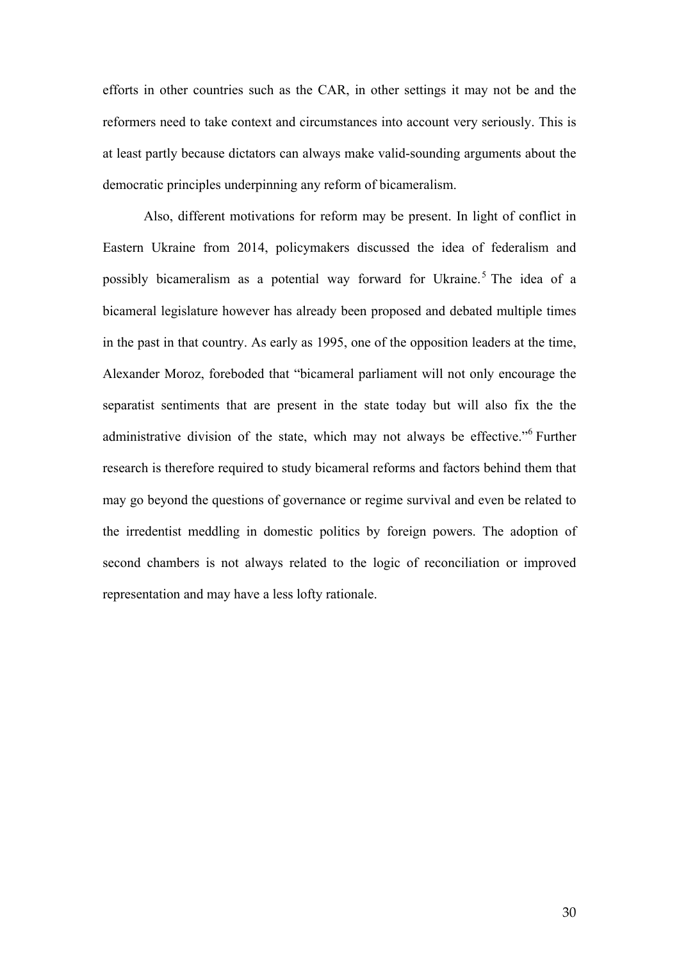efforts in other countries such as the CAR, in other settings it may not be and the reformers need to take context and circumstances into account very seriously. This is at least partly because dictators can always make valid-sounding arguments about the democratic principles underpinning any reform of bicameralism.

Also, different motivations for reform may be present. In light of conflict in Eastern Ukraine from 2014, policymakers discussed the idea of federalism and possibly bicameralism as a potential way forward for Ukraine.<sup>5</sup> The idea of a bicameral legislature however has already been proposed and debated multiple times in the past in that country. As early as 1995, one of the opposition leaders at the time, Alexander Moroz, foreboded that "bicameral parliament will not only encourage the separatist sentiments that are present in the state today but will also fix the the administrative division of the state, which may not always be effective."<sup>6</sup> Further research is therefore required to study bicameral reforms and factors behind them that may go beyond the questions of governance or regime survival and even be related to the irredentist meddling in domestic politics by foreign powers. The adoption of second chambers is not always related to the logic of reconciliation or improved representation and may have a less lofty rationale.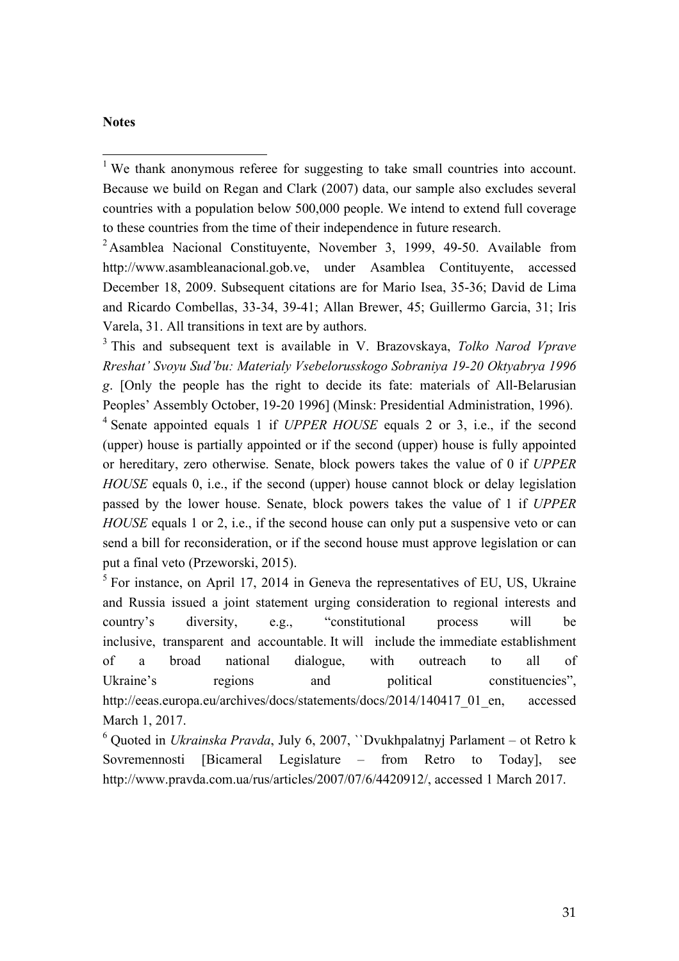## **Notes**

<sup>1</sup> We thank anonymous referee for suggesting to take small countries into account. Because we build on Regan and Clark (2007) data, our sample also excludes several countries with a population below 500,000 people. We intend to extend full coverage to these countries from the time of their independence in future research.

 $2^2$ Asamblea Nacional Constituyente, November 3, 1999, 49-50. Available from http://www.asambleanacional.gob.ve, under Asamblea Contituyente, accessed December 18, 2009. Subsequent citations are for Mario Isea, 35-36; David de Lima and Ricardo Combellas, 33-34, 39-41; Allan Brewer, 45; Guillermo Garcia, 31; Iris Varela, 31. All transitions in text are by authors.

<sup>3</sup> This and subsequent text is available in V. Brazovskaya, *Tolko Narod Vprave Rreshat' Svoyu Sud'bu: Materialy Vsebelorusskogo Sobraniya 19-20 Oktyabrya 1996 g*. [Only the people has the right to decide its fate: materials of All-Belarusian Peoples' Assembly October, 19-20 1996] (Minsk: Presidential Administration, 1996).

<sup>4</sup> Senate appointed equals 1 if *UPPER HOUSE* equals 2 or 3, i.e., if the second (upper) house is partially appointed or if the second (upper) house is fully appointed or hereditary, zero otherwise. Senate, block powers takes the value of 0 if *UPPER HOUSE* equals 0, i.e., if the second (upper) house cannot block or delay legislation passed by the lower house. Senate, block powers takes the value of 1 if *UPPER HOUSE* equals 1 or 2, i.e., if the second house can only put a suspensive veto or can send a bill for reconsideration, or if the second house must approve legislation or can put a final veto (Przeworski, 2015).

 $5$  For instance, on April 17, 2014 in Geneva the representatives of EU, US, Ukraine and Russia issued a joint statement urging consideration to regional interests and country's diversity, e.g., "constitutional process will be inclusive, transparent and accountable. It will include the immediate establishment of a broad national dialogue, with outreach to all of Ukraine's regions and political constituencies", http://eeas.europa.eu/archives/docs/statements/docs/2014/140417\_01\_en, accessed March 1, 2017.

<sup>6</sup> Quoted in *Ukrainska Pravda*, July 6, 2007, ``Dvukhpalatnyj Parlament – ot Retro k Sovremennosti [Bicameral Legislature – from Retro to Today], see http://www.pravda.com.ua/rus/articles/2007/07/6/4420912/, accessed 1 March 2017.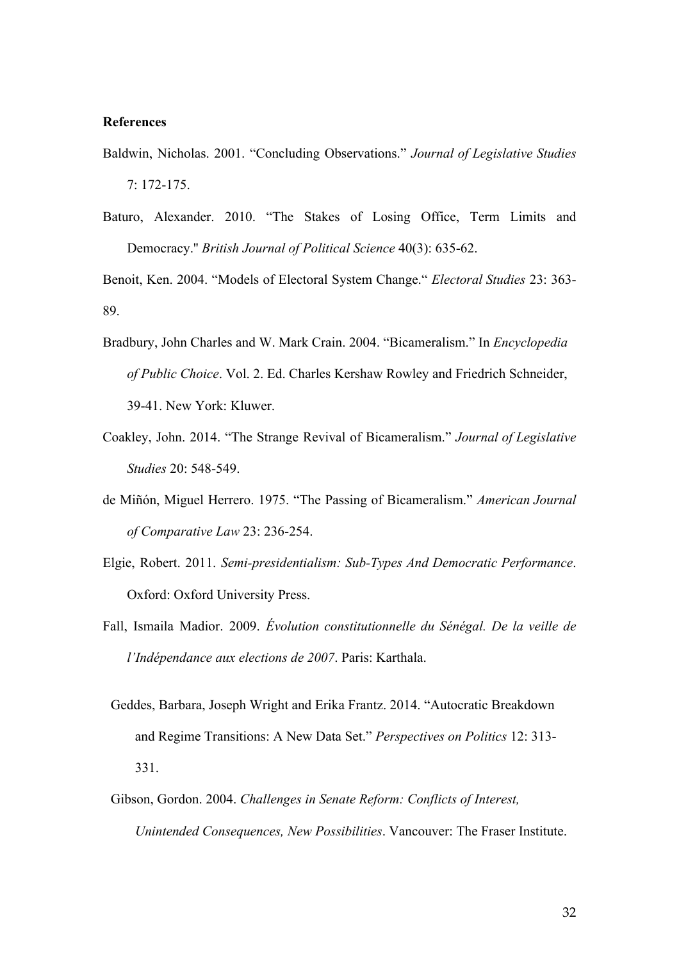#### **References**

- Baldwin, Nicholas. 2001. "Concluding Observations." *Journal of Legislative Studies* 7: 172-175.
- Baturo, Alexander. 2010. "The Stakes of Losing Office, Term Limits and Democracy.'' *British Journal of Political Science* 40(3): 635-62.

Benoit, Ken. 2004. "Models of Electoral System Change." *Electoral Studies* 23: 363- 89.

- Bradbury, John Charles and W. Mark Crain. 2004. "Bicameralism." In *Encyclopedia of Public Choice*. Vol. 2. Ed. Charles Kershaw Rowley and Friedrich Schneider, 39-41. New York: Kluwer.
- Coakley, John. 2014. "The Strange Revival of Bicameralism." *Journal of Legislative Studies* 20: 548-549.
- de Miñón, Miguel Herrero. 1975. "The Passing of Bicameralism." *American Journal of Comparative Law* 23: 236-254.
- Elgie, Robert. 2011. *Semi-presidentialism: Sub-Types And Democratic Performance*. Oxford: Oxford University Press.
- Fall, Ismaila Madior. 2009. *Évolution constitutionnelle du Sénégal. De la veille de l'Indépendance aux elections de 2007*. Paris: Karthala.
	- Geddes, Barbara, Joseph Wright and Erika Frantz. 2014. "Autocratic Breakdown and Regime Transitions: A New Data Set." *Perspectives on Politics* 12: 313- 331.
	- Gibson, Gordon. 2004. *Challenges in Senate Reform: Conflicts of Interest, Unintended Consequences, New Possibilities*. Vancouver: The Fraser Institute.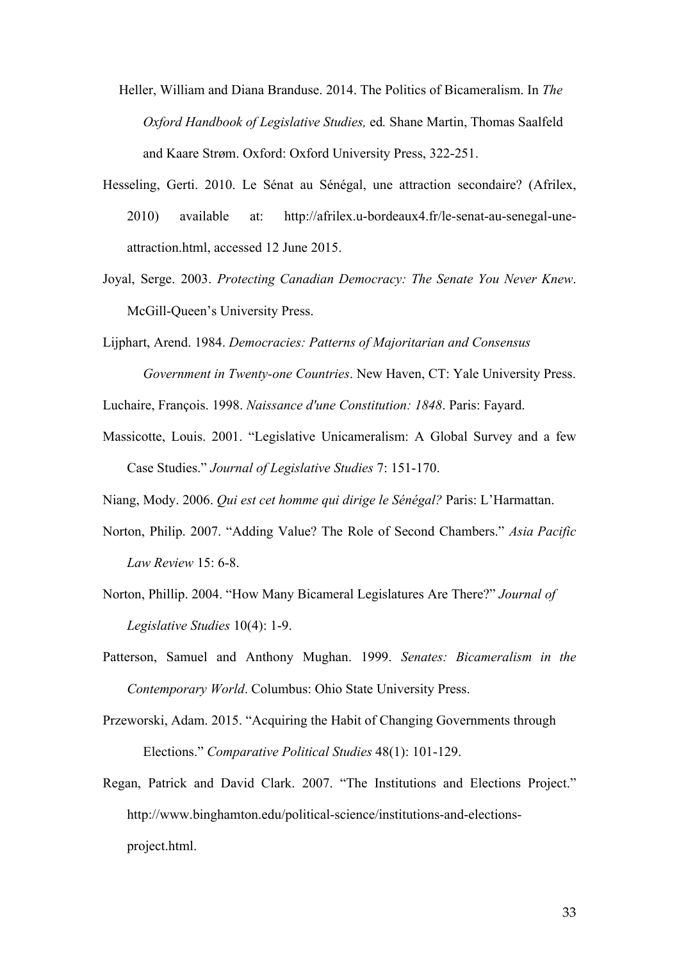- Heller, William and Diana Branduse. 2014. The Politics of Bicameralism. In *The Oxford Handbook of Legislative Studies,* ed*.* Shane Martin, Thomas Saalfeld and Kaare Strøm. Oxford: Oxford University Press, 322-251.
- Hesseling, Gerti. 2010. Le Sénat au Sénégal, une attraction secondaire? (Afrilex, 2010) available at: http://afrilex.u-bordeaux4.fr/le-senat-au-senegal-uneattraction.html, accessed 12 June 2015.
- Joyal, Serge. 2003. *Protecting Canadian Democracy: The Senate You Never Knew*. McGill-Queen's University Press.
- Lijphart, Arend. 1984. *Democracies: Patterns of Majoritarian and Consensus Government in Twenty-one Countries*. New Haven, CT: Yale University Press.
- Luchaire, François. 1998. *Naissance d'une Constitution: 1848*. Paris: Fayard.
- Massicotte, Louis. 2001. "Legislative Unicameralism: A Global Survey and a few Case Studies." *Journal of Legislative Studies* 7: 151-170.

Niang, Mody. 2006. *Qui est cet homme qui dirige le Sénégal?* Paris: L'Harmattan.

- Norton, Philip. 2007. "Adding Value? The Role of Second Chambers." *Asia Pacific Law Review* 15: 6-8.
- Norton, Phillip. 2004. "How Many Bicameral Legislatures Are There?" *Journal of Legislative Studies* 10(4): 1-9.
- Patterson, Samuel and Anthony Mughan. 1999. *Senates: Bicameralism in the Contemporary World*. Columbus: Ohio State University Press.
- Przeworski, Adam. 2015. "Acquiring the Habit of Changing Governments through Elections." *Comparative Political Studies* 48(1): 101-129.
- Regan, Patrick and David Clark. 2007. "The Institutions and Elections Project." http://www.binghamton.edu/political-science/institutions-and-electionsproject.html.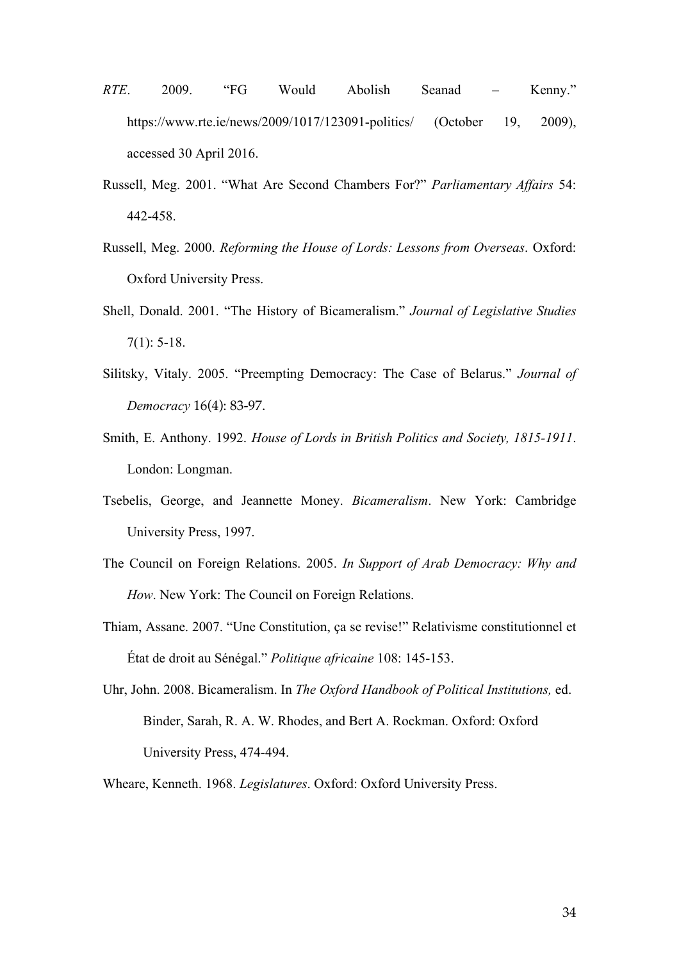- *RTE*. 2009. "FG Would Abolish Seanad Kenny." https://www.rte.ie/news/2009/1017/123091-politics/ (October 19, 2009), accessed 30 April 2016.
- Russell, Meg. 2001. "What Are Second Chambers For?" *Parliamentary Affairs* 54: 442-458.
- Russell, Meg. 2000. *Reforming the House of Lords: Lessons from Overseas*. Oxford: Oxford University Press.
- Shell, Donald. 2001. "The History of Bicameralism." *Journal of Legislative Studies*  $7(1): 5-18.$
- Silitsky, Vitaly. 2005. "Preempting Democracy: The Case of Belarus." *Journal of Democracy* 16(4): 83-97.
- Smith, E. Anthony. 1992. *House of Lords in British Politics and Society, 1815-1911*. London: Longman.
- Tsebelis, George, and Jeannette Money. *Bicameralism*. New York: Cambridge University Press, 1997.
- The Council on Foreign Relations. 2005. *In Support of Arab Democracy: Why and How*. New York: The Council on Foreign Relations.
- Thiam, Assane. 2007. "Une Constitution, ça se revise!" Relativisme constitutionnel et État de droit au Sénégal." *Politique africaine* 108: 145-153.
- Uhr, John. 2008. Bicameralism. In *The Oxford Handbook of Political Institutions,* ed. Binder, Sarah, R. A. W. Rhodes, and Bert A. Rockman. Oxford: Oxford University Press, 474-494.

Wheare, Kenneth. 1968. *Legislatures*. Oxford: Oxford University Press.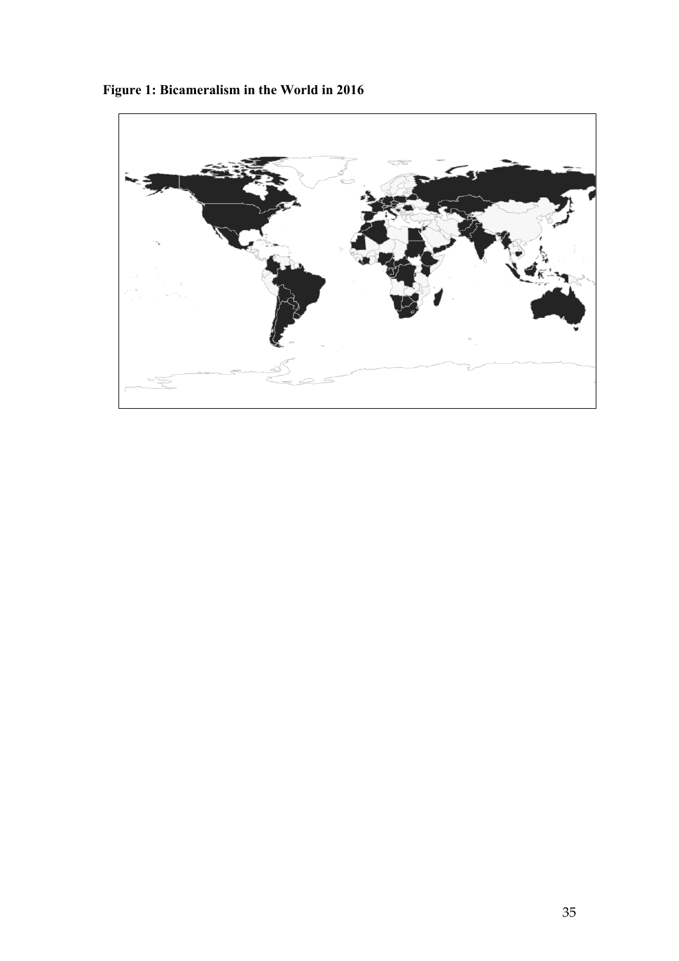

**Figure 1: Bicameralism in the World in 2016**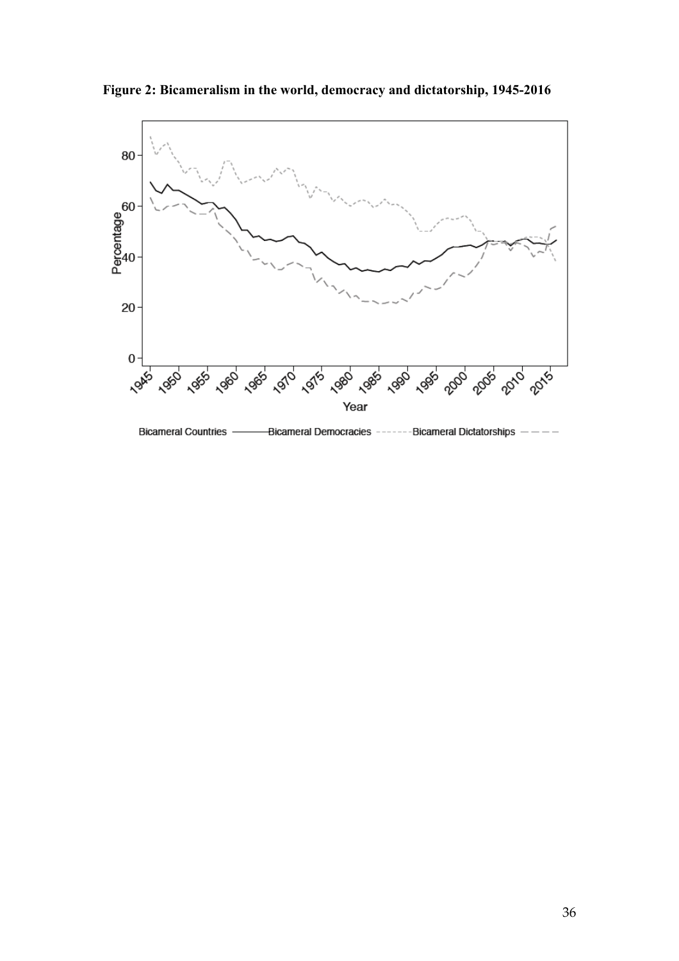

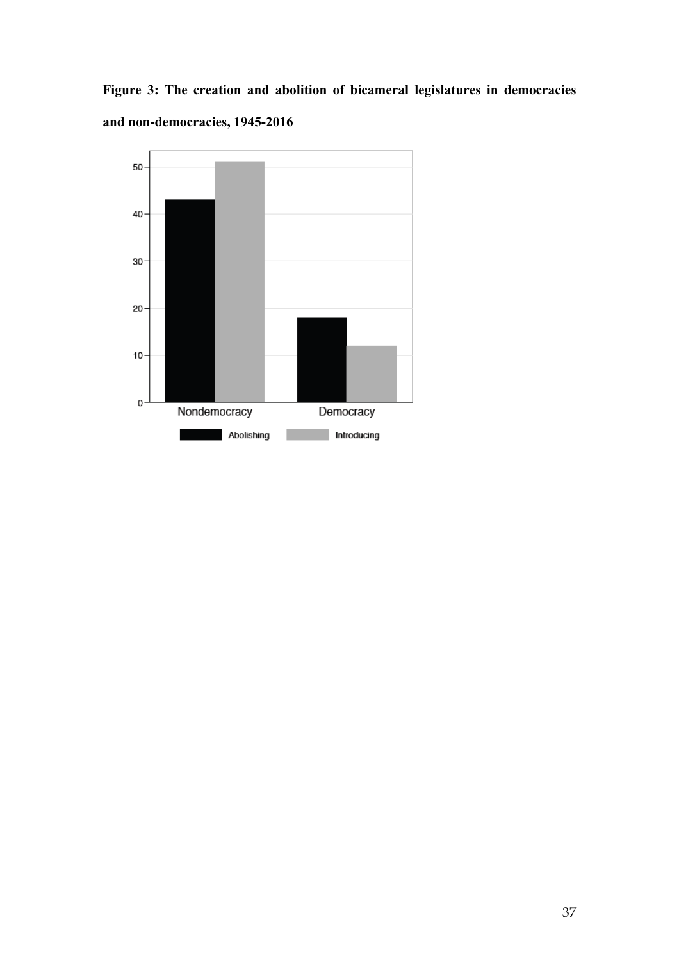**Figure 3: The creation and abolition of bicameral legislatures in democracies and non-democracies, 1945-2016**

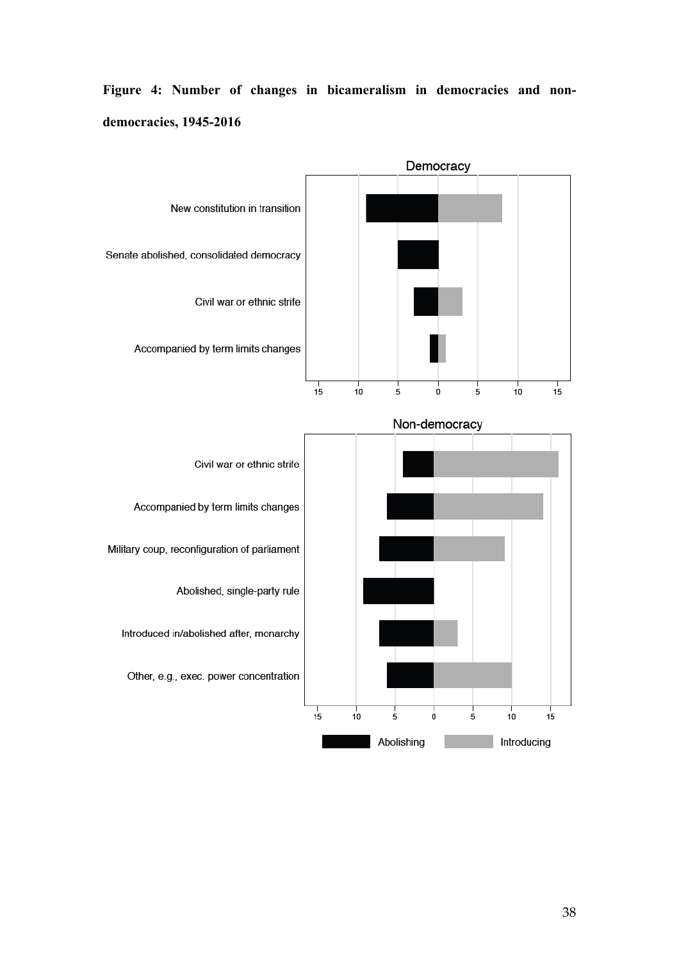**Figure 4: Number of changes in bicameralism in democracies and nondemocracies, 1945-2016**